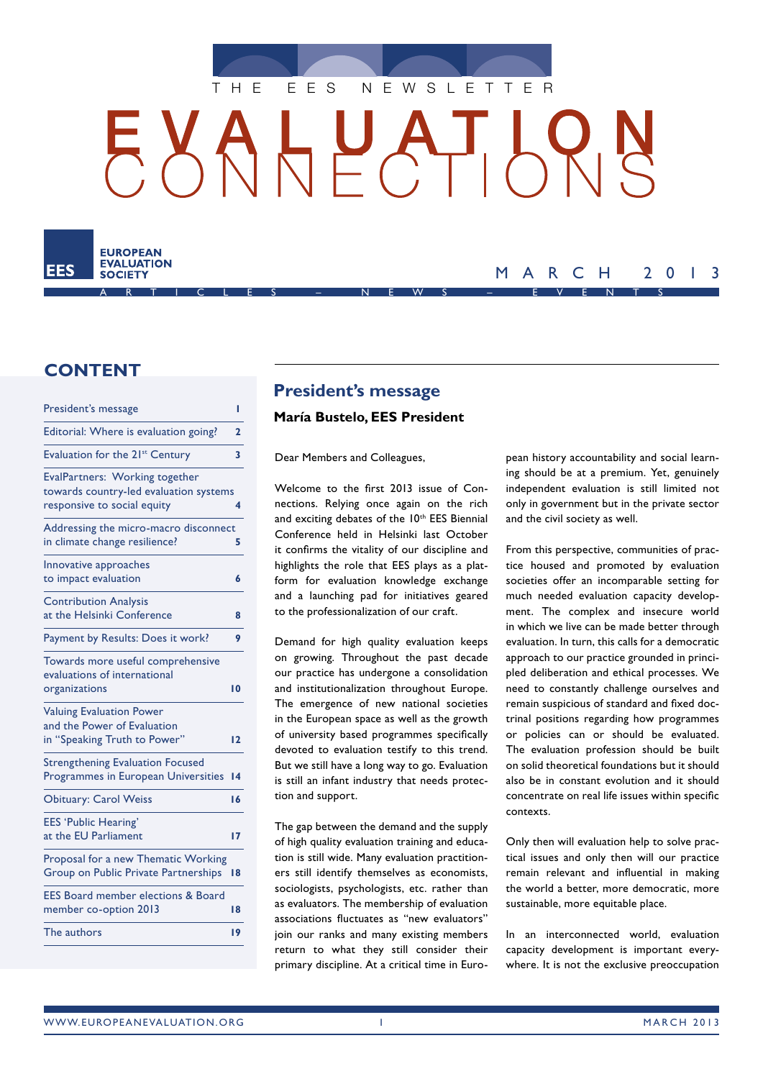

# HUA  $\mathcal{F}$



# MARCH 2013

# **CONTENT**

| President's message                                                                                     | ı  |
|---------------------------------------------------------------------------------------------------------|----|
| Editorial: Where is evaluation going?                                                                   | 2  |
| Evaluation for the 21 <sup>st</sup> Century                                                             | 3  |
| EvalPartners: Working together<br>towards country-led evaluation systems<br>responsive to social equity | 4  |
| Addressing the micro-macro disconnect<br>in climate change resilience?                                  | 5  |
| Innovative approaches<br>to impact evaluation                                                           | 6  |
| <b>Contribution Analysis</b><br>at the Helsinki Conference                                              | 8  |
| Payment by Results: Does it work?                                                                       | 9  |
| Towards more useful comprehensive<br>evaluations of international<br>organizations                      | 10 |
| <b>Valuing Evaluation Power</b><br>and the Power of Evaluation<br>in "Speaking Truth to Power"          | 12 |
| <b>Strengthening Evaluation Focused</b><br>Programmes in European Universities                          | 14 |
| <b>Obituary: Carol Weiss</b>                                                                            | 16 |
| <b>EES 'Public Hearing'</b><br>at the EU Parliament                                                     | 17 |
| Proposal for a new Thematic Working<br>Group on Public Private Partnerships                             | 18 |
| <b>EES Board member elections &amp; Board</b><br>member co-option 2013                                  | 18 |
| The authors                                                                                             | 19 |
|                                                                                                         |    |

# **President's message**

### **María Bustelo, EES President**

Dear Members and Colleagues,

Welcome to the first 2013 issue of Connections. Relying once again on the rich and exciting debates of the 10<sup>th</sup> EES Biennial Conference held in Helsinki last October it confirms the vitality of our discipline and highlights the role that EES plays as a platform for evaluation knowledge exchange and a launching pad for initiatives geared to the professionalization of our craft.

Demand for high quality evaluation keeps on growing. Throughout the past decade our practice has undergone a consolidation and institutionalization throughout Europe. The emergence of new national societies in the European space as well as the growth of university based programmes specifically devoted to evaluation testify to this trend. But we still have a long way to go. Evaluation is still an infant industry that needs protection and support.

The gap between the demand and the supply of high quality evaluation training and education is still wide. Many evaluation practitioners still identify themselves as economists, sociologists, psychologists, etc. rather than as evaluators. The membership of evaluation associations fluctuates as "new evaluators" join our ranks and many existing members return to what they still consider their primary discipline. At a critical time in European history accountability and social learning should be at a premium. Yet, genuinely independent evaluation is still limited not only in government but in the private sector and the civil society as well.

From this perspective, communities of practice housed and promoted by evaluation societies offer an incomparable setting for much needed evaluation capacity development. The complex and insecure world in which we live can be made better through evaluation. In turn, this calls for a democratic approach to our practice grounded in principled deliberation and ethical processes. We need to constantly challenge ourselves and remain suspicious of standard and fixed doctrinal positions regarding how programmes or policies can or should be evaluated. The evaluation profession should be built on solid theoretical foundations but it should also be in constant evolution and it should concentrate on real life issues within specific contexts.

Only then will evaluation help to solve practical issues and only then will our practice remain relevant and influential in making the world a better, more democratic, more sustainable, more equitable place.

In an interconnected world, evaluation capacity development is important everywhere. It is not the exclusive preoccupation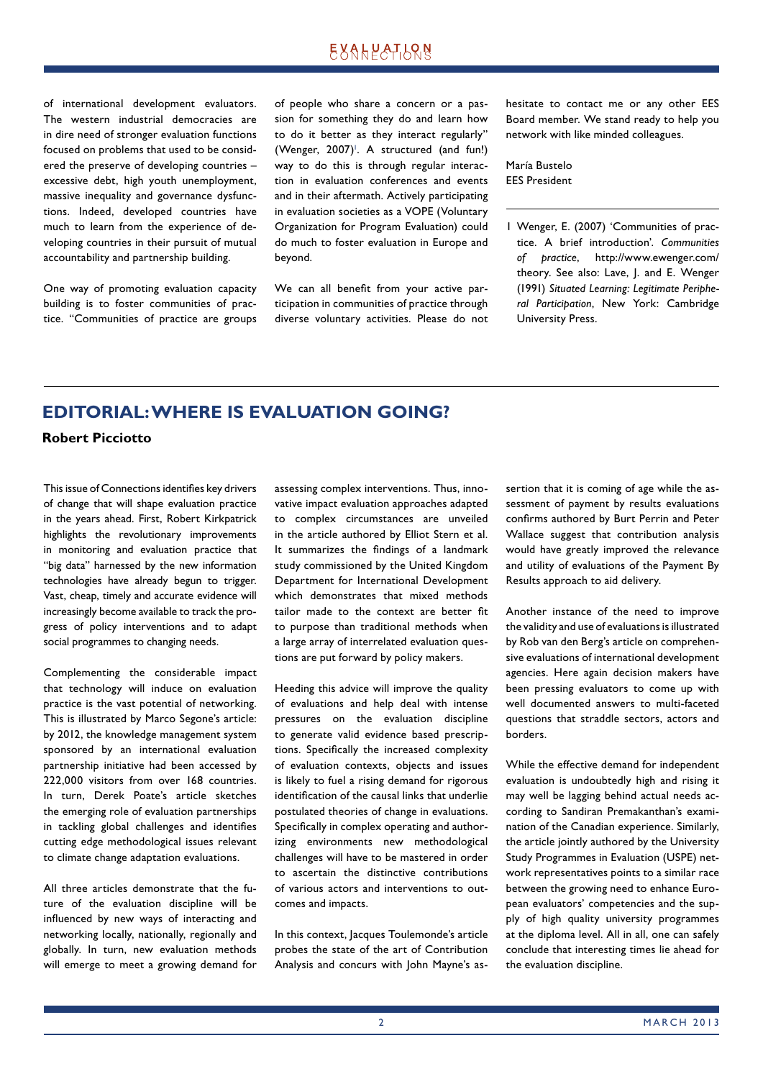# **EXALPATLQN**

of international development evaluators. The western industrial democracies are in dire need of stronger evaluation functions focused on problems that used to be considered the preserve of developing countries – excessive debt, high youth unemployment, massive inequality and governance dysfunctions. Indeed, developed countries have much to learn from the experience of developing countries in their pursuit of mutual accountability and partnership building.

One way of promoting evaluation capacity building is to foster communities of practice. "Communities of practice are groups of people who share a concern or a passion for something they do and learn how to do it better as they interact regularly"  $(Wenger, 2007)^{T}$ . A structured (and fun!) way to do this is through regular interaction in evaluation conferences and events and in their aftermath. Actively participating in evaluation societies as a VOPE (Voluntary Organization for Program Evaluation) could do much to foster evaluation in Europe and beyond.

We can all benefit from your active participation in communities of practice through diverse voluntary activities. Please do not hesitate to contact me or any other EES Board member. We stand ready to help you network with like minded colleagues.

María Bustelo EES President

1 Wenger, E. (2007) 'Communities of practice. A brief introduction'. *Communities of practice*, http://www.ewenger.com/ theory. See also: Lave, J. and E. Wenger (1991) *Situated Learning: Legitimate Peripheral Participation*, New York: Cambridge University Press.

### **EDITORIAL: WHERE IS EVALUATION GOING?**

### **Robert Picciotto**

This issue of Connections identifies key drivers of change that will shape evaluation practice in the years ahead. First, Robert Kirkpatrick highlights the revolutionary improvements in monitoring and evaluation practice that "big data" harnessed by the new information technologies have already begun to trigger. Vast, cheap, timely and accurate evidence will increasingly become available to track the progress of policy interventions and to adapt social programmes to changing needs.

Complementing the considerable impact that technology will induce on evaluation practice is the vast potential of networking. This is illustrated by Marco Segone's article: by 2012, the knowledge management system sponsored by an international evaluation partnership initiative had been accessed by 222,000 visitors from over 168 countries. In turn, Derek Poate's article sketches the emerging role of evaluation partnerships in tackling global challenges and identifies cutting edge methodological issues relevant to climate change adaptation evaluations.

All three articles demonstrate that the future of the evaluation discipline will be influenced by new ways of interacting and networking locally, nationally, regionally and globally. In turn, new evaluation methods will emerge to meet a growing demand for assessing complex interventions. Thus, innovative impact evaluation approaches adapted to complex circumstances are unveiled in the article authored by Elliot Stern et al. It summarizes the findings of a landmark study commissioned by the United Kingdom Department for International Development which demonstrates that mixed methods tailor made to the context are better fit to purpose than traditional methods when a large array of interrelated evaluation questions are put forward by policy makers.

Heeding this advice will improve the quality of evaluations and help deal with intense pressures on the evaluation discipline to generate valid evidence based prescriptions. Specifically the increased complexity of evaluation contexts, objects and issues is likely to fuel a rising demand for rigorous identification of the causal links that underlie postulated theories of change in evaluations. Specifically in complex operating and authorizing environments new methodological challenges will have to be mastered in order to ascertain the distinctive contributions of various actors and interventions to outcomes and impacts.

In this context, Jacques Toulemonde's article probes the state of the art of Contribution Analysis and concurs with John Mayne's assertion that it is coming of age while the assessment of payment by results evaluations confirms authored by Burt Perrin and Peter Wallace suggest that contribution analysis would have greatly improved the relevance and utility of evaluations of the Payment By Results approach to aid delivery.

Another instance of the need to improve the validity and use of evaluations is illustrated by Rob van den Berg's article on comprehensive evaluations of international development agencies. Here again decision makers have been pressing evaluators to come up with well documented answers to multi-faceted questions that straddle sectors, actors and borders.

While the effective demand for independent evaluation is undoubtedly high and rising it may well be lagging behind actual needs according to Sandiran Premakanthan's examination of the Canadian experience. Similarly, the article jointly authored by the University Study Programmes in Evaluation (USPE) network representatives points to a similar race between the growing need to enhance European evaluators' competencies and the supply of high quality university programmes at the diploma level. All in all, one can safely conclude that interesting times lie ahead for the evaluation discipline.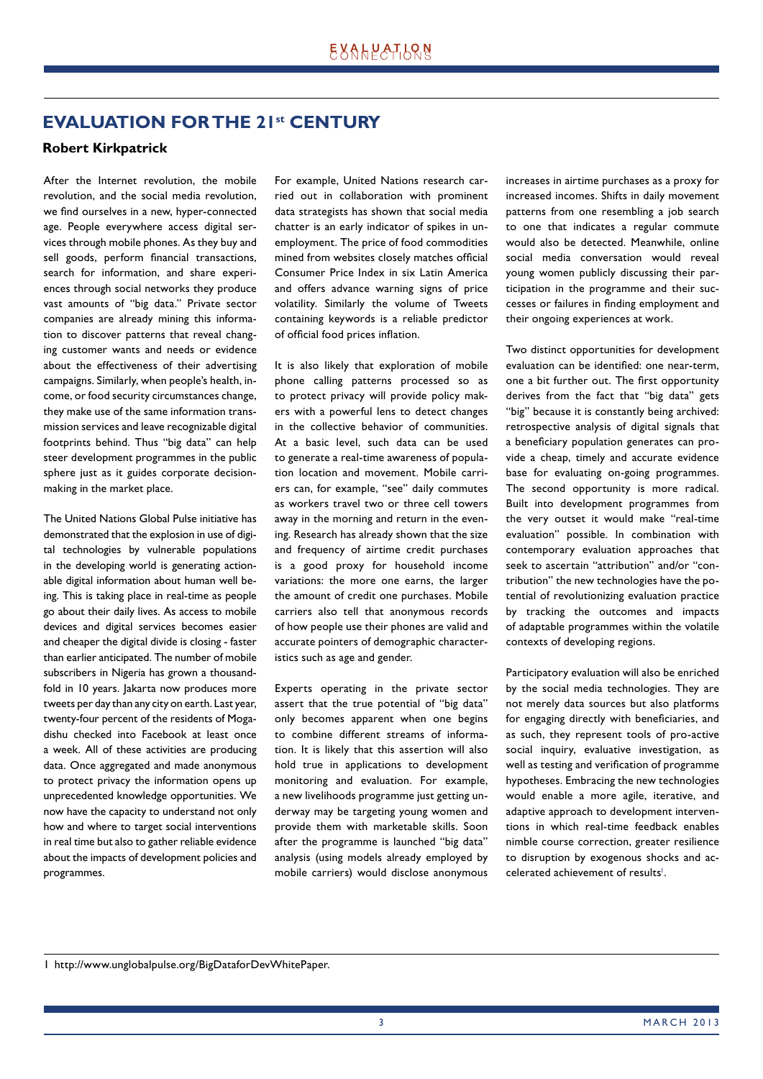# **EVALUATION FOR THE 21st CENTURY**

### **Robert Kirkpatrick**

After the Internet revolution, the mobile revolution, and the social media revolution, we find ourselves in a new, hyper-connected age. People everywhere access digital services through mobile phones. As they buy and sell goods, perform financial transactions, search for information, and share experiences through social networks they produce vast amounts of "big data." Private sector companies are already mining this information to discover patterns that reveal changing customer wants and needs or evidence about the effectiveness of their advertising campaigns. Similarly, when people's health, income, or food security circumstances change, they make use of the same information transmission services and leave recognizable digital footprints behind. Thus "big data" can help steer development programmes in the public sphere just as it guides corporate decisionmaking in the market place.

The United Nations Global Pulse initiative has demonstrated that the explosion in use of digital technologies by vulnerable populations in the developing world is generating actionable digital information about human well being. This is taking place in real-time as people go about their daily lives. As access to mobile devices and digital services becomes easier and cheaper the digital divide is closing - faster than earlier anticipated. The number of mobile subscribers in Nigeria has grown a thousandfold in 10 years. Jakarta now produces more tweets per day than any city on earth. Last year, twenty-four percent of the residents of Mogadishu checked into Facebook at least once a week. All of these activities are producing data. Once aggregated and made anonymous to protect privacy the information opens up unprecedented knowledge opportunities. We now have the capacity to understand not only how and where to target social interventions in real time but also to gather reliable evidence about the impacts of development policies and programmes.

For example, United Nations research carried out in collaboration with prominent data strategists has shown that social media chatter is an early indicator of spikes in unemployment. The price of food commodities mined from websites closely matches official Consumer Price Index in six Latin America and offers advance warning signs of price volatility. Similarly the volume of Tweets containing keywords is a reliable predictor of official food prices inflation.

It is also likely that exploration of mobile phone calling patterns processed so as to protect privacy will provide policy makers with a powerful lens to detect changes in the collective behavior of communities. At a basic level, such data can be used to generate a real-time awareness of population location and movement. Mobile carriers can, for example, "see" daily commutes as workers travel two or three cell towers away in the morning and return in the evening. Research has already shown that the size and frequency of airtime credit purchases is a good proxy for household income variations: the more one earns, the larger the amount of credit one purchases. Mobile carriers also tell that anonymous records of how people use their phones are valid and accurate pointers of demographic characteristics such as age and gender.

Experts operating in the private sector assert that the true potential of "big data" only becomes apparent when one begins to combine different streams of information. It is likely that this assertion will also hold true in applications to development monitoring and evaluation. For example, a new livelihoods programme just getting underway may be targeting young women and provide them with marketable skills. Soon after the programme is launched "big data" analysis (using models already employed by mobile carriers) would disclose anonymous increases in airtime purchases as a proxy for increased incomes. Shifts in daily movement patterns from one resembling a job search to one that indicates a regular commute would also be detected. Meanwhile, online social media conversation would reveal young women publicly discussing their participation in the programme and their successes or failures in finding employment and their ongoing experiences at work.

Two distinct opportunities for development evaluation can be identified: one near-term, one a bit further out. The first opportunity derives from the fact that "big data" gets "big" because it is constantly being archived: retrospective analysis of digital signals that a beneficiary population generates can provide a cheap, timely and accurate evidence base for evaluating on-going programmes. The second opportunity is more radical. Built into development programmes from the very outset it would make "real-time evaluation" possible. In combination with contemporary evaluation approaches that seek to ascertain "attribution" and/or "contribution" the new technologies have the potential of revolutionizing evaluation practice by tracking the outcomes and impacts of adaptable programmes within the volatile contexts of developing regions.

Participatory evaluation will also be enriched by the social media technologies. They are not merely data sources but also platforms for engaging directly with beneficiaries, and as such, they represent tools of pro-active social inquiry, evaluative investigation, as well as testing and verification of programme hypotheses. Embracing the new technologies would enable a more agile, iterative, and adaptive approach to development interventions in which real-time feedback enables nimble course correction, greater resilience to disruption by exogenous shocks and accelerated achievement of results<sup>1</sup>.

<sup>1</sup> http://www.unglobalpulse.org/BigDataforDevWhitePaper.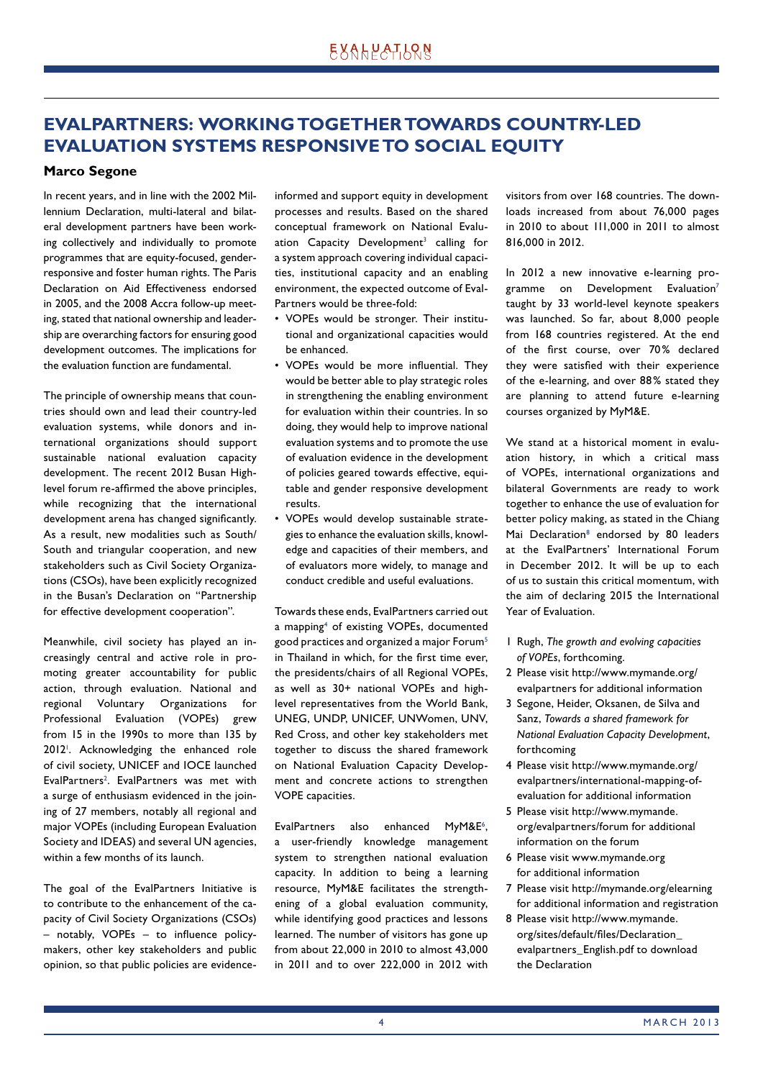# **EVALPARTNERS: WORKING TOGETHER TOWARDS COUNTRY-LED EVALUATION SYSTEMS RESPONSIVE TO SOCIAL EQUITY**

### **Marco Segone**

In recent years, and in line with the 2002 Millennium Declaration, multi-lateral and bilateral development partners have been working collectively and individually to promote programmes that are equity-focused, genderresponsive and foster human rights. The Paris Declaration on Aid Effectiveness endorsed in 2005, and the 2008 Accra follow-up meeting, stated that national ownership and leadership are overarching factors for ensuring good development outcomes. The implications for the evaluation function are fundamental.

The principle of ownership means that countries should own and lead their country-led evaluation systems, while donors and international organizations should support sustainable national evaluation capacity development. The recent 2012 Busan Highlevel forum re-affirmed the above principles, while recognizing that the international development arena has changed significantly. As a result, new modalities such as South/ South and triangular cooperation, and new stakeholders such as Civil Society Organizations (CSOs), have been explicitly recognized in the Busan's Declaration on "Partnership for effective development cooperation".

Meanwhile, civil society has played an increasingly central and active role in promoting greater accountability for public action, through evaluation. National and regional Voluntary Organizations for Professional Evaluation (VOPEs) grew from 15 in the 1990s to more than 135 by 2012<sup>1</sup>. Acknowledging the enhanced role of civil society, UNICEF and IOCE launched EvalPartners<sup>2</sup>. EvalPartners was met with a surge of enthusiasm evidenced in the joining of 27 members, notably all regional and major VOPEs (including European Evaluation Society and IDEAS) and several UN agencies, within a few months of its launch.

The goal of the EvalPartners Initiative is to contribute to the enhancement of the capacity of Civil Society Organizations (CSOs)  $-$  notably, VOPEs  $-$  to influence policymakers, other key stakeholders and public opinion, so that public policies are evidenceinformed and support equity in development processes and results. Based on the shared conceptual framework on National Evaluation  $\sf{Capacity}$  Development $^3$  calling for a system approach covering individual capacities, institutional capacity and an enabling environment, the expected outcome of Eval-Partners would be three-fold:

- VOPEs would be stronger. Their institutional and organizational capacities would be enhanced.
- VOPEs would be more influential. They would be better able to play strategic roles in strengthening the enabling environment for evaluation within their countries. In so doing, they would help to improve national evaluation systems and to promote the use of evaluation evidence in the development of policies geared towards effective, equitable and gender responsive development results.
- VOPEs would develop sustainable strategies to enhance the evaluation skills, knowledge and capacities of their members, and of evaluators more widely, to manage and conduct credible and useful evaluations.

Towards these ends, EvalPartners carried out a mapping<sup>4</sup> of existing VOPEs, documented good practices and organized a major Forum $5$ in Thailand in which, for the first time ever, the presidents/chairs of all Regional VOPEs, as well as 30+ national VOPEs and highlevel representatives from the World Bank, UNEG, UNDP, UNICEF, UNWomen, UNV, Red Cross, and other key stakeholders met together to discuss the shared framework on National Evaluation Capacity Development and concrete actions to strengthen VOPE capacities.

EvalPartners also enhanced MyM&E<sup>6</sup>, a user-friendly knowledge management system to strengthen national evaluation capacity. In addition to being a learning resource, MyM&E facilitates the strengthening of a global evaluation community, while identifying good practices and lessons learned. The number of visitors has gone up from about 22,000 in 2010 to almost 43,000 in 2011 and to over 222,000 in 2012 with

visitors from over 168 countries. The downloads increased from about 76,000 pages in 2010 to about 111,000 in 2011 to almost 816,000 in 2012.

In 2012 a new innovative e-learning programme on Development Evaluation<sup>7</sup> taught by 33 world-level keynote speakers was launched. So far, about 8,000 people from 168 countries registered. At the end of the first course, over 70% declared they were satisfied with their experience of the e-learning, and over 88% stated they are planning to attend future e-learning courses organized by MyM&E.

We stand at a historical moment in evaluation history, in which a critical mass of VOPEs, international organizations and bilateral Governments are ready to work together to enhance the use of evaluation for better policy making, as stated in the Chiang Mai Declaration<sup>8</sup> endorsed by 80 leaders at the EvalPartners' International Forum in December 2012. It will be up to each of us to sustain this critical momentum, with the aim of declaring 2015 the International Year of Evaluation.

- 1 Rugh, *The growth and evolving capacities of VOPEs*, forthcoming.
- 2 Please visit http://www.mymande.org/ evalpartners for additional information
- 3 Segone, Heider, Oksanen, de Silva and Sanz, *Towards a shared framework for National Evaluation Capacity Development*, forthcoming
- 4 Please visit http://www.mymande.org/ evalpartners/international-mapping-ofevaluation for additional information
- 5 Please visit http://www.mymande. org/evalpartners/forum for additional information on the forum
- 6 Please visit www.mymande.org for additional information
- 7 Please visit http://mymande.org/elearning for additional information and registration
- 8 Please visit http://www.mymande. org/sites/default/files/Declaration evalpartners\_English.pdf to download the Declaration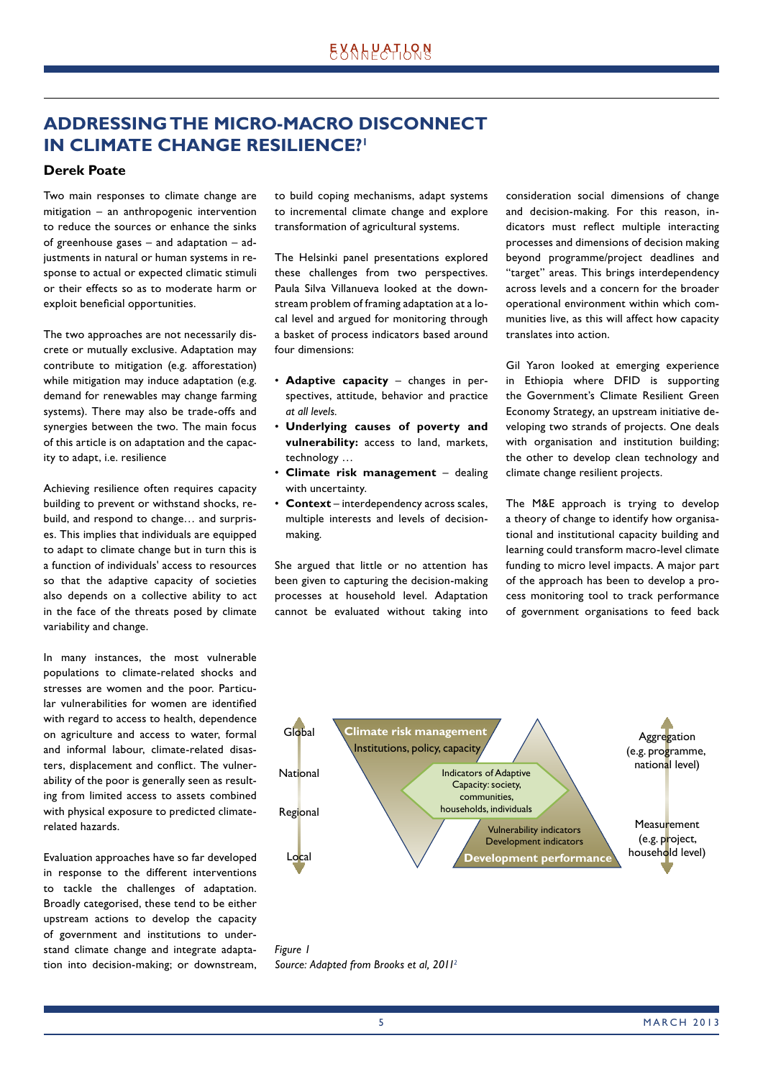# **ADDRESSING THE MICRO-MACRO DISCONNECT IN CLIMATE CHANGE RESILIENCE?**<sup>1</sup>

### **Derek Poate**

Two main responses to climate change are mitigation – an anthropogenic intervention to reduce the sources or enhance the sinks of greenhouse gases – and adaptation – adjustments in natural or human systems in response to actual or expected climatic stimuli or their effects so as to moderate harm or exploit beneficial opportunities.

The two approaches are not necessarily discrete or mutually exclusive. Adaptation may contribute to mitigation (e.g. afforestation) while mitigation may induce adaptation (e.g. demand for renewables may change farming systems). There may also be trade-offs and synergies between the two. The main focus of this article is on adaptation and the capacity to adapt, i.e. resilience

Achieving resilience often requires capacity building to prevent or withstand shocks, rebuild, and respond to change… and surprises. This implies that individuals are equipped to adapt to climate change but in turn this is a function of individuals' access to resources so that the adaptive capacity of societies also depends on a collective ability to act in the face of the threats posed by climate variability and change.

In many instances, the most vulnerable populations to climate-related shocks and stresses are women and the poor. Particular vulnerabilities for women are identified with regard to access to health, dependence on agriculture and access to water, formal and informal labour, climate-related disasters, displacement and conflict. The vulnerability of the poor is generally seen as resulting from limited access to assets combined with physical exposure to predicted climaterelated hazards.

Evaluation approaches have so far developed in response to the different interventions to tackle the challenges of adaptation. Broadly categorised, these tend to be either upstream actions to develop the capacity of government and institutions to understand climate change and integrate adaptation into decision-making; or downstream, to build coping mechanisms, adapt systems to incremental climate change and explore transformation of agricultural systems.

The Helsinki panel presentations explored these challenges from two perspectives. Paula Silva Villanueva looked at the downstream problem of framing adaptation at a local level and argued for monitoring through a basket of process indicators based around four dimensions:

- **Adaptive capacity** changes in perspectives, attitude, behavior and practice *at all levels.*
- **Underlying causes of poverty and vulnerability:** access to land, markets, technology ...
- **Climate risk management** dealing with uncertainty.
- **Context** interdependency across scales, multiple interests and levels of decisionmaking.

She argued that little or no attention has been given to capturing the decision-making processes at household level. Adaptation cannot be evaluated without taking into consideration social dimensions of change and decision-making. For this reason, indicators must reflect multiple interacting processes and dimensions of decision making beyond programme/project deadlines and "target" areas. This brings interdependency across levels and a concern for the broader operational environment within which communities live, as this will affect how capacity translates into action.

Gil Yaron looked at emerging experience in Ethiopia where DFID is supporting the Government's Climate Resilient Green Economy Strategy, an upstream initiative developing two strands of projects. One deals with organisation and institution building; the other to develop clean technology and climate change resilient projects.

The M&E approach is trying to develop a theory of change to identify how organisational and institutional capacity building and learning could transform macro-level climate funding to micro level impacts. A major part of the approach has been to develop a process monitoring tool to track performance of government organisations to feed back



*Figure 1 Source: Adapted from Brooks et al, 20112*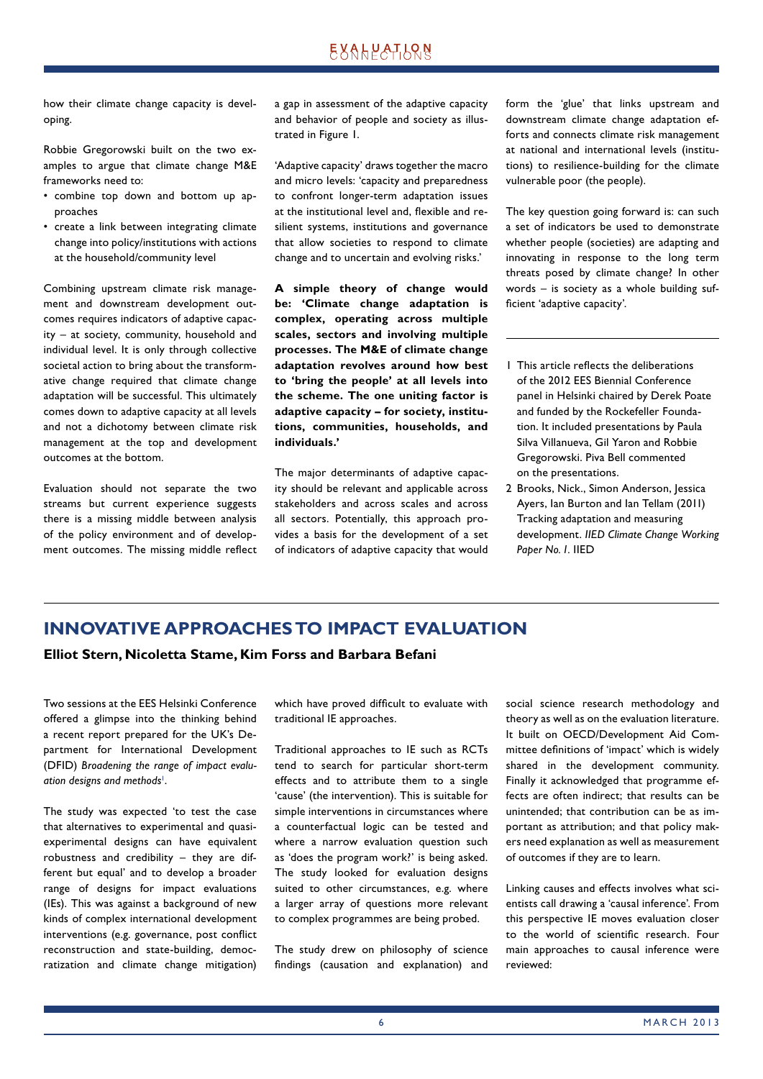# **EXALPATLQN**

how their climate change capacity is developing.

Robbie Gregorowski built on the two examples to argue that climate change M&E frameworks need to:

- combine top down and bottom up approaches
- create a link between integrating climate change into policy/institutions with actions at the household/community level

Combining upstream climate risk management and downstream development outcomes requires indicators of adaptive capacity – at society, community, household and individual level. It is only through collective societal action to bring about the transformative change required that climate change adaptation will be successful. This ultimately comes down to adaptive capacity at all levels and not a dichotomy between climate risk management at the top and development outcomes at the bottom.

Evaluation should not separate the two streams but current experience suggests there is a missing middle between analysis of the policy environment and of development outcomes. The missing middle reflect a gap in assessment of the adaptive capacity and behavior of people and society as illustrated in Figure 1.

'Adaptive capacity' draws together the macro and micro levels: 'capacity and preparedness to confront longer-term adaptation issues at the institutional level and, flexible and resilient systems, institutions and governance that allow societies to respond to climate change and to uncertain and evolving risks.'

**A simple theory of change would be: 'Climate change adaptation is complex, operating across multiple scales, sectors and involving multiple processes. The M&E of climate change adaptation revolves around how best to 'bring the people' at all levels into the scheme. The one uniting factor is adaptive capacity – for society, institutions, communities, households, and individuals.'**

The major determinants of adaptive capacity should be relevant and applicable across stakeholders and across scales and across all sectors. Potentially, this approach provides a basis for the development of a set of indicators of adaptive capacity that would form the 'glue' that links upstream and downstream climate change adaptation efforts and connects climate risk management at national and international levels (institutions) to resilience-building for the climate vulnerable poor (the people).

The key question going forward is: can such a set of indicators be used to demonstrate whether people (societies) are adapting and innovating in response to the long term threats posed by climate change? In other words – is society as a whole building sufficient 'adaptive capacity'.

- 1 This article reflects the deliberations of the 2012 EES Biennial Conference panel in Helsinki chaired by Derek Poate and funded by the Rockefeller Foundation. It included presentations by Paula Silva Villanueva, Gil Yaron and Robbie Gregorowski. Piva Bell commented on the presentations.
- 2 Brooks, Nick., Simon Anderson, Jessica Ayers, Ian Burton and Ian Tellam (2011) Tracking adaptation and measuring develop ment. *IIED Climate Change Working Paper No. 1.* IIED

# **INNOVATIVE APPROACHES TO IMPACT EVALUATION**

**Elliot Stern, Nicoletta Stame, Kim Forss and Barbara Befani**

Two sessions at the EES Helsinki Conference offered a glimpse into the thinking behind a recent report prepared for the UK's Department for International Development (DFID) *Broadening the range of impact evalu*ation designs and methods<sup>1</sup>.

The study was expected 'to test the case that alternatives to experimental and quasiexperimental designs can have equivalent robustness and credibility – they are different but equal' and to develop a broader range of designs for impact evaluations (IEs). This was against a background of new kinds of complex international development interventions (e.g. governance, post conflict reconstruction and state-building, democratization and climate change mitigation) which have proved difficult to evaluate with traditional IE approaches.

Traditional approaches to IE such as RCTs tend to search for particular short-term effects and to attribute them to a single 'cause' (the intervention). This is suitable for simple interventions in circumstances where a counterfactual logic can be tested and where a narrow evaluation question such as 'does the program work?' is being asked. The study looked for evaluation designs suited to other circumstances, e.g. where a larger array of questions more relevant to complex programmes are being probed.

The study drew on philosophy of science findings (causation and explanation) and social science research methodology and theory as well as on the evaluation literature. It built on OECD/Development Aid Committee definitions of 'impact' which is widely shared in the development community. Finally it acknowledged that programme effects are often indirect; that results can be unintended; that contribution can be as important as attribution; and that policy makers need explanation as well as measurement of outcomes if they are to learn.

Linking causes and effects involves what scientists call drawing a 'causal inference'. From this perspective IE moves evaluation closer to the world of scientific research. Four main approaches to causal inference were reviewed: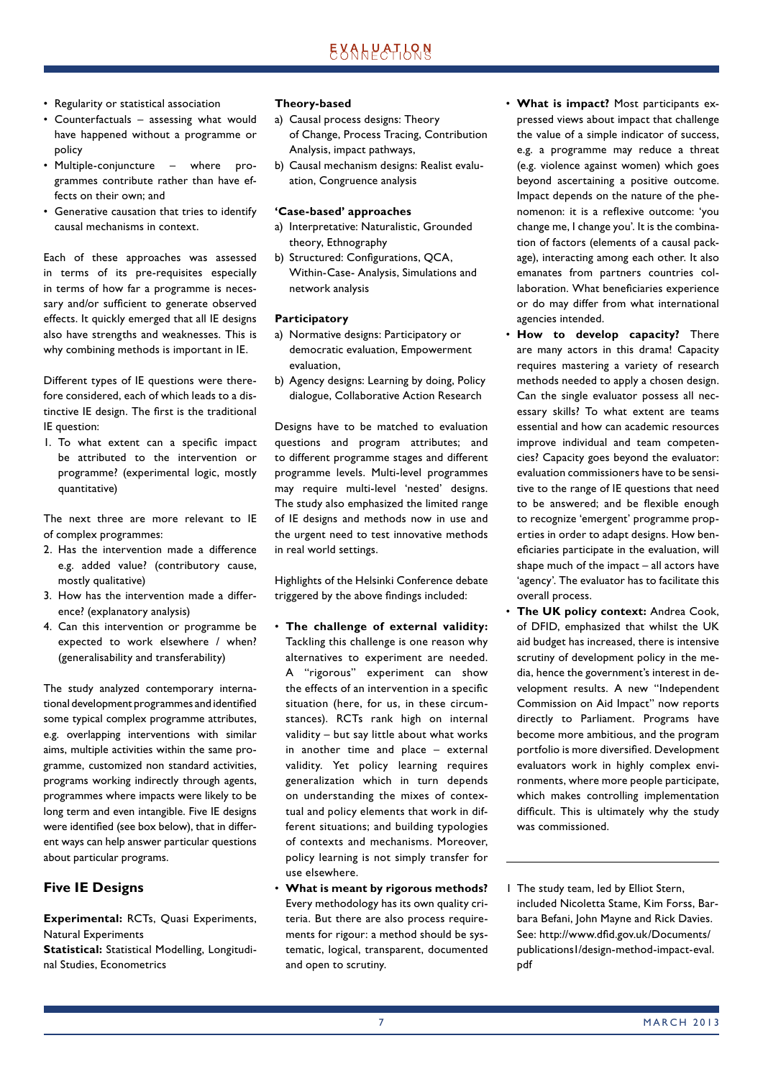- Regularity or statistical association
- Counterfactuals assessing what would have happened without a programme or policy
- Multiple-conjuncture where programmes contribute rather than have effects on their own; and
- Generative causation that tries to identify causal mechanisms in context.

Each of these approaches was assessed in terms of its pre-requisites especially in terms of how far a programme is necessary and/or sufficient to generate observed effects. It quickly emerged that all IE designs also have strengths and weaknesses. This is why combining methods is important in IE.

Different types of IE questions were therefore considered, each of which leads to a distinctive IE design. The first is the traditional IE question:

1. To what extent can a specific impact be attributed to the intervention or programme? (experimental logic, mostly quantitative)

The next three are more relevant to IE of complex programmes:

- 2. Has the intervention made a difference e.g. added value? (contributory cause, mostly qualitative)
- 3. How has the intervention made a difference? (explanatory analysis)
- 4. Can this intervention or programme be expected to work elsewhere / when? (generalisability and transferability)

The study analyzed contemporary international development programmes and identified some typical complex programme attributes, e.g. overlapping interventions with similar aims, multiple activities within the same programme, customized non standard activities, programs working indirectly through agents, programmes where impacts were likely to be long term and even intangible. Five IE designs were identified (see box below), that in different ways can help answer particular questions about particular programs.

### **Five IE Designs**

**Experimental:** RCTs, Quasi Experiments, Natural Experiments

**Statistical:** Statistical Modelling, Longitudinal Studies, Econometrics

### **Theory-based**

- a) Causal process designs: Theory of Change, Process Tracing, Contribution Analysis, impact pathways,
- b) Causal mechanism designs: Realist evaluation, Congruence analysis

### **'Case-based' approaches**

- a) Interpretative: Naturalistic, Grounded theory, Ethnography
- b) Structured: Configurations, QCA, Within-Case- Analysis, Simulations and network analysis

### **Participatory**

- a) Normative designs: Participatory or democratic evaluation, Empowerment evaluation,
- b) Agency designs: Learning by doing, Policy dialogue, Collaborative Action Research

Designs have to be matched to evaluation questions and program attributes; and to different programme stages and different programme levels. Multi-level programmes may require multi-level 'nested' designs. The study also emphasized the limited range of IE designs and methods now in use and the urgent need to test innovative methods in real world settings.

Highlights of the Helsinki Conference debate triggered by the above findings included:

- **The challenge of external validity:** Tackling this challenge is one reason why alternatives to experiment are needed. A "rigorous" experiment can show the effects of an intervention in a specific situation (here, for us, in these circumstances). RCTs rank high on internal validity – but say little about what works in another time and place – external validity. Yet policy learning requires generalization which in turn depends on understanding the mixes of contextual and policy elements that work in different situations; and building typologies of contexts and mechanisms. Moreover, policy learning is not simply transfer for use elsewhere.
- **What is meant by rigorous methods?** Every methodology has its own quality criteria. But there are also process requirements for rigour: a method should be systematic, logical, transparent, documented and open to scrutiny.
- **What is impact?** Most participants expressed views about impact that challenge the value of a simple indicator of success, e.g. a programme may reduce a threat (e.g. violence against women) which goes beyond ascertaining a positive outcome. Impact depends on the nature of the phenomenon: it is a reflexive outcome: 'you change me, I change you'. It is the combination of factors (elements of a causal package), interacting among each other. It also emanates from partners countries collaboration. What beneficiaries experience or do may differ from what international agencies intended.
- **How to develop capacity?** There are many actors in this drama! Capacity requires mastering a variety of research methods needed to apply a chosen design. Can the single evaluator possess all necessary skills? To what extent are teams essential and how can academic resources improve individual and team competencies? Capacity goes beyond the evaluator: evaluation commissioners have to be sensitive to the range of IE questions that need to be answered; and be flexible enough to recognize 'emergent' programme properties in order to adapt designs. How beneficiaries participate in the evaluation, will shape much of the impact – all actors have 'agency'. The evaluator has to facilitate this overall process.
- **The UK policy context:** Andrea Cook, of DFID, emphasized that whilst the UK aid budget has increased, there is intensive scrutiny of development policy in the media, hence the government's interest in development results. A new "Independent Commission on Aid Impact" now reports directly to Parliament. Programs have become more ambitious, and the program portfolio is more diversified. Development evaluators work in highly complex environments, where more people participate, which makes controlling implementation difficult. This is ultimately why the study was commissioned.
- 1 The study team, led by Elliot Stern, included Nicoletta Stame, Kim Forss, Barbara Befani, John Mayne and Rick Davies. See: http://www.dfid.gov.uk/Documents/ publications1/design-method-impact-eval. pdf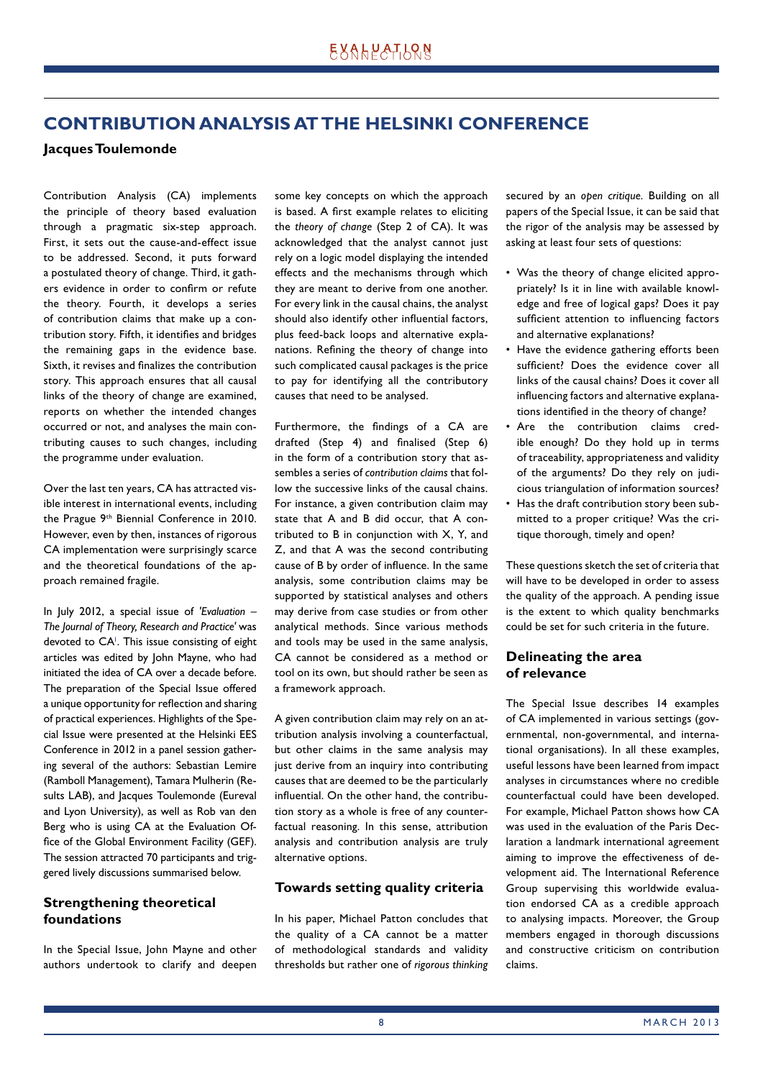# **CONTRIBUTION ANALYSIS AT THE HELSINKI CONFERENCE**

### **Jacques Toulemonde**

Contribution Analysis (CA) implements the principle of theory based evaluation through a pragmatic six-step approach. First, it sets out the cause-and-effect issue to be addressed. Second, it puts forward a postulated theory of change. Third, it gathers evidence in order to confirm or refute the theory. Fourth, it develops a series of contribution claims that make up a contribution story. Fifth, it identifies and bridges the remaining gaps in the evidence base. Sixth, it revises and finalizes the contribution story. This approach ensures that all causal links of the theory of change are examined, reports on whether the intended changes occurred or not, and analyses the main contributing causes to such changes, including the programme under evaluation.

Over the last ten years, CA has attracted visible interest in international events, including the Prague 9<sup>th</sup> Biennial Conference in 2010. However, even by then, instances of rigorous CA implementation were surprisingly scarce and the theoretical foundations of the approach remained fragile.

In July 2012, a special issue of *'Evaluation – The Journal of Theory, Research and Practice'* was devoted to CA<sup>1</sup>. This issue consisting of eight articles was edited by John Mayne, who had initiated the idea of CA over a decade before. The preparation of the Special Issue offered a unique opportunity for reflection and sharing of practical experiences. Highlights of the Special Issue were presented at the Helsinki EES Conference in 2012 in a panel session gathering several of the authors: Sebastian Lemire (Ramboll Management), Tamara Mulherin (Results LAB), and lacques Toulemonde (Eureval and Lyon University), as well as Rob van den Berg who is using CA at the Evaluation Office of the Global Environment Facility (GEF). The session attracted 70 participants and triggered lively discussions summarised below.

### **Strengthening theoretical foundations**

In the Special Issue, John Mayne and other authors undertook to clarify and deepen some key concepts on which the approach is based. A first example relates to eliciting the *theory of change* (Step 2 of CA). It was acknowledged that the analyst cannot just rely on a logic model displaying the intended effects and the mechanisms through which they are meant to derive from one another. For every link in the causal chains, the analyst should also identify other influential factors, plus feed-back loops and alternative explanations. Refining the theory of change into such complicated causal packages is the price to pay for identifying all the contributory causes that need to be analysed.

Furthermore, the findings of a CA are drafted (Step 4) and finalised (Step 6) in the form of a contribution story that assembles a series of *contribution claims* that follow the successive links of the causal chains. For instance, a given contribution claim may state that A and B did occur, that A contributed to B in conjunction with X, Y, and Z, and that A was the second contributing cause of B by order of influence. In the same analysis, some contribution claims may be supported by statistical analyses and others may derive from case studies or from other analytical methods. Since various methods and tools may be used in the same analysis, CA cannot be considered as a method or tool on its own, but should rather be seen as a framework approach.

A given contribution claim may rely on an attribution analysis involving a counterfactual, but other claims in the same analysis may just derive from an inquiry into contributing causes that are deemed to be the particularly influential. On the other hand, the contribution story as a whole is free of any counterfactual reasoning. In this sense, attribution analysis and contribution analysis are truly alternative options.

### **Towards setting quality criteria**

In his paper, Michael Patton concludes that the quality of a CA cannot be a matter of methodological standards and validity thresholds but rather one of *rigorous thinking*

secured by an *open critique.* Building on all papers of the Special Issue, it can be said that the rigor of the analysis may be assessed by asking at least four sets of questions:

- Was the theory of change elicited appropriately? Is it in line with available knowledge and free of logical gaps? Does it pay sufficient attention to influencing factors and alternative explanations?
- Have the evidence gathering efforts been sufficient? Does the evidence cover all links of the causal chains? Does it cover all influencing factors and alternative explanations identified in the theory of change?
- Are the contribution claims credible enough? Do they hold up in terms of traceability, appropriateness and validity of the arguments? Do they rely on judicious triangulation of information sources?
- Has the draft contribution story been submitted to a proper critique? Was the critique thorough, timely and open?

These questions sketch the set of criteria that will have to be developed in order to assess the quality of the approach. A pending issue is the extent to which quality benchmarks could be set for such criteria in the future.

### **Delineating the area of relevance**

The Special Issue describes 14 examples of CA implemented in various settings (governmental, non-governmental, and international organisations). In all these examples, useful lessons have been learned from impact analyses in circumstances where no credible counterfactual could have been developed. For example, Michael Patton shows how CA was used in the evaluation of the Paris Declaration a landmark international agreement aiming to improve the effectiveness of development aid. The International Reference Group supervising this worldwide evaluation endorsed CA as a credible approach to analysing impacts. Moreover, the Group members engaged in thorough discussions and constructive criticism on contribution claims.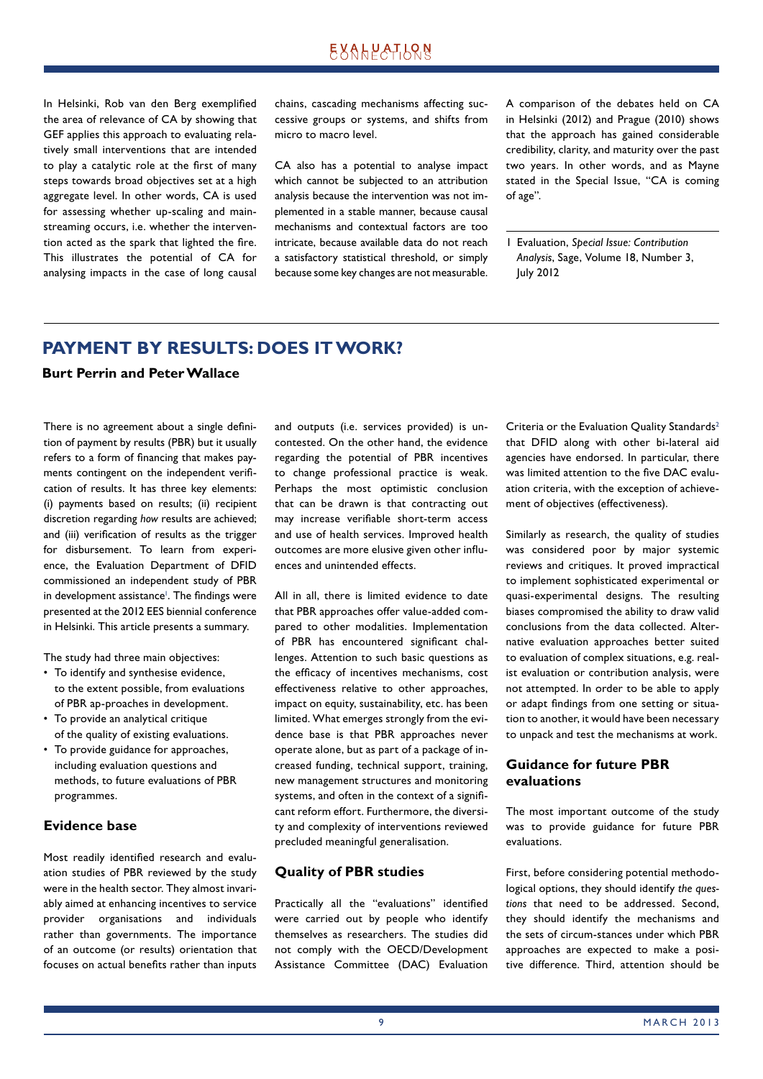In Helsinki, Rob van den Berg exemplified the area of relevance of CA by showing that GEF applies this approach to evaluating relatively small interventions that are intended to play a catalytic role at the first of many steps towards broad objectives set at a high aggregate level. In other words, CA is used for assessing whether up-scaling and mainstreaming occurs, i.e. whether the intervention acted as the spark that lighted the fire. This illustrates the potential of CA for analysing impacts in the case of long causal chains, cascading mechanisms affecting successive groups or systems, and shifts from micro to macro level.

CA also has a potential to analyse impact which cannot be subjected to an attribution analysis because the intervention was not implemented in a stable manner, because causal mechanisms and contextual factors are too intricate, because available data do not reach a satisfactory statistical threshold, or simply because some key changes are not measurable.

A comparison of the debates held on CA in Helsinki (2012) and Prague (2010) shows that the approach has gained considerable credibility, clarity, and maturity over the past two years. In other words, and as Mayne stated in the Special Issue, "CA is coming of age".

### **PAYMENT BY RESULTS: DOES IT WORK?**

### **Burt Perrin and Peter Wallace**

There is no agreement about a single definition of payment by results (PBR) but it usually refers to a form of financing that makes payments contingent on the independent verification of results. It has three key elements: (i) payments based on results; (ii) recipient discretion regarding *how* results are achieved; and (iii) verification of results as the trigger for disbursement. To learn from experience, the Evaluation Department of DFID commissioned an independent study of PBR in development assistance<sup>1</sup>. The findings were presented at the 2012 EES biennial conference in Helsinki. This article presents a summary.

The study had three main objectives:

- To identify and synthesise evidence, to the extent possible, from evaluations of PBR ap-proaches in development.
- To provide an analytical critique of the quality of existing evaluations.
- To provide guidance for approaches, including evaluation questions and methods, to future evaluations of PBR programmes.

### **Evidence base**

Most readily identified research and evaluation studies of PBR reviewed by the study were in the health sector. They almost invariably aimed at enhancing incentives to service provider organisations and individuals rather than governments. The importance of an outcome (or results) orientation that focuses on actual benefits rather than inputs and outputs (i.e. services provided) is uncontested. On the other hand, the evidence regarding the potential of PBR incentives to change professional practice is weak. Perhaps the most optimistic conclusion that can be drawn is that contracting out may increase verifiable short-term access and use of health services. Improved health outcomes are more elusive given other influences and unintended effects.

All in all, there is limited evidence to date that PBR approaches offer value-added compared to other modalities. Implementation of PBR has encountered significant challenges. Attention to such basic questions as the efficacy of incentives mechanisms, cost effectiveness relative to other approaches, impact on equity, sustainability, etc. has been limited. What emerges strongly from the evidence base is that PBR approaches never operate alone, but as part of a package of increased funding, technical support, training, new management structures and monitoring systems, and often in the context of a significant reform effort. Furthermore, the diversity and complexity of interventions reviewed precluded meaningful generalisation.

### **Quality of PBR studies**

Practically all the "evaluations" identified were carried out by people who identify themselves as researchers. The studies did not comply with the OECD/Development Assistance Committee (DAC) Evaluation Criteria or the Evaluation Quality Standards<sup>2</sup> that DFID along with other bi-lateral aid agencies have endorsed. In particular, there was limited attention to the five DAC evaluation criteria, with the exception of achievement of objectives (effectiveness).

Similarly as research, the quality of studies was considered poor by major systemic reviews and critiques. It proved impractical to implement sophisticated experimental or quasi-experimental designs. The resulting biases compromised the ability to draw valid conclusions from the data collected. Alternative evaluation approaches better suited to evaluation of complex situations, e.g. realist evaluation or contribution analysis, were not attempted. In order to be able to apply or adapt findings from one setting or situation to another, it would have been necessary to unpack and test the mechanisms at work.

### **Guidance for future PBR evaluations**

The most important outcome of the study was to provide guidance for future PBR evaluations.

First, before considering potential methodological options, they should identify *the questions* that need to be addressed. Second, they should identify the mechanisms and the sets of circum-stances under which PBR approaches are expected to make a positive difference. Third, attention should be

<sup>1</sup> Evaluation, *Special Issue: Contribution Analysis*, Sage, Volume 18, Number 3, July 2012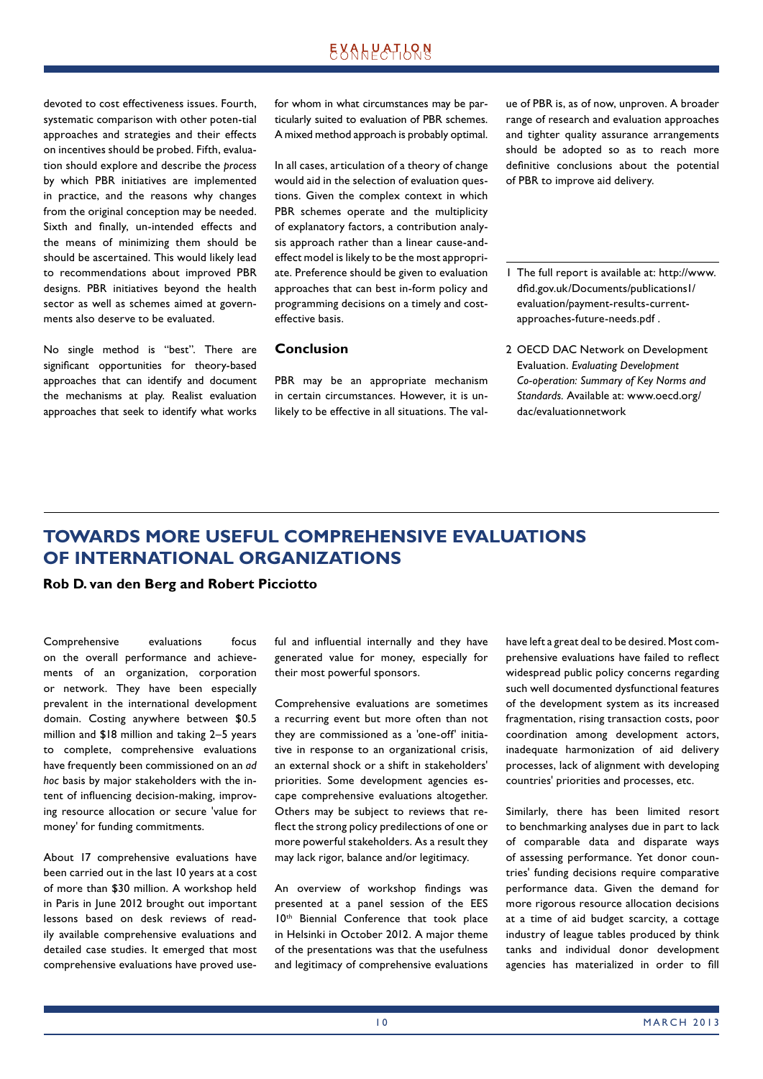# **EXALPATLQN**

devoted to cost effectiveness issues. Fourth, systematic comparison with other poten-tial approaches and strategies and their effects on incentives should be probed. Fifth, evaluation should explore and describe the *process* by which PBR initiatives are implemented in practice, and the reasons why changes from the original conception may be needed. Sixth and finally, un-intended effects and the means of minimizing them should be should be ascertained. This would likely lead to recommendations about improved PBR designs. PBR initiatives beyond the health sector as well as schemes aimed at governments also deserve to be evaluated.

No single method is "best". There are significant opportunities for theory-based approaches that can identify and document the mechanisms at play. Realist evaluation approaches that seek to identify what works

for whom in what circumstances may be particularly suited to evaluation of PBR schemes. A mixed method approach is probably optimal.

In all cases, articulation of a theory of change would aid in the selection of evaluation questions. Given the complex context in which PBR schemes operate and the multiplicity of explanatory factors, a contribution analysis approach rather than a linear cause-andeffect model is likely to be the most appropriate. Preference should be given to evaluation approaches that can best in-form policy and programming decisions on a timely and costeffective basis.

### **Conclusion**

PBR may be an appropriate mechanism in certain circumstances. However, it is unlikely to be effective in all situations. The value of PBR is, as of now, unproven. A broader range of research and evaluation approaches and tighter quality assurance arrangements should be adopted so as to reach more definitive conclusions about the potential of PBR to improve aid delivery.

- 1 The full report is available at: http://www. dfid.gov.uk/Documents/publicationsl/ evaluation/payment-results-currentapproaches-future-needs.pdf .
- 2 OECD DAC Network on Development Evaluation. *Evaluating Development Co-operation: Summary of Key Norms and Standards.* Available at: www.oecd.org/ dac/evaluationnetwork

# **TOWARDS MORE USEFUL COMPREHENSIVE EVALUATIONS OF INTERNATIONAL ORGANIZATIONS**

### **Rob D. van den Berg and Robert Picciotto**

Comprehensive evaluations focus on the overall performance and achievements of an organization, corporation or network. They have been especially prevalent in the international development domain. Costing anywhere between \$0.5 million and \$18 million and taking 2–5 years to complete, comprehensive evaluations have frequently been commissioned on an *ad hoc* basis by major stakeholders with the intent of influencing decision-making, improving resource allocation or secure 'value for money' for funding commitments.

About 17 comprehensive evaluations have been carried out in the last 10 years at a cost of more than \$30 million. A workshop held in Paris in June 2012 brought out important lessons based on desk reviews of readily available comprehensive evaluations and detailed case studies. It emerged that most comprehensive evaluations have proved useful and influential internally and they have generated value for money, especially for their most powerful sponsors.

Comprehensive evaluations are sometimes a recurring event but more often than not they are commissioned as a 'one-off' initiative in response to an organizational crisis, an external shock or a shift in stakeholders' priorities. Some development agencies escape comprehensive evaluations altogether. Others may be subject to reviews that reflect the strong policy predilections of one or more powerful stakeholders. As a result they may lack rigor, balance and/or legitimacy.

An overview of workshop findings was presented at a panel session of the EES 10th Biennial Conference that took place in Helsinki in October 2012. A major theme of the presentations was that the usefulness and legitimacy of comprehensive evaluations have left a great deal to be desired. Most comprehensive evaluations have failed to reflect widespread public policy concerns regarding such well documented dysfunctional features of the development system as its increased fragmentation, rising transaction costs, poor coordination among development actors, inadequate harmonization of aid delivery processes, lack of alignment with developing countries' priorities and processes, etc.

Similarly, there has been limited resort to benchmarking analyses due in part to lack of comparable data and disparate ways of assessing performance. Yet donor countries' funding decisions require comparative performance data. Given the demand for more rigorous resource allocation decisions at a time of aid budget scarcity, a cottage industry of league tables produced by think tanks and individual donor development agencies has materialized in order to fill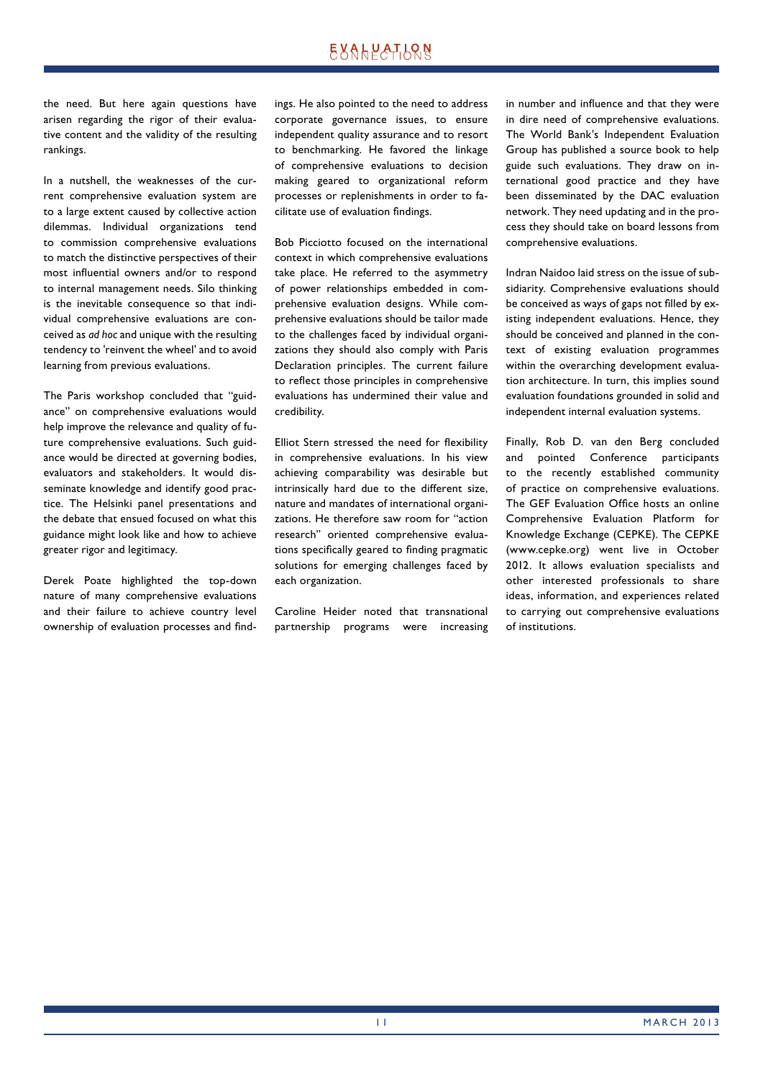# EXALPATLRN

the need. But here again questions have arisen regarding the rigor of their evaluative content and the validity of the resulting rankings.

In a nutshell, the weaknesses of the current comprehensive evaluation system are to a large extent caused by collective action dilemmas. Individual organizations tend to commission comprehensive evaluations to match the distinctive perspectives of their most influential owners and/or to respond to internal management needs. Silo thinking is the inevitable consequence so that individual comprehensive evaluations are conceived as *ad hoc* and unique with the resulting tendency to 'reinvent the wheel' and to avoid learning from previous evaluations.

The Paris workshop concluded that "guidance" on comprehensive evaluations would help improve the relevance and quality of future comprehensive evaluations. Such guidance would be directed at governing bodies, evaluators and stakeholders. It would disseminate knowledge and identify good practice. The Helsinki panel presentations and the debate that ensued focused on what this guidance might look like and how to achieve greater rigor and legitimacy.

Derek Poate highlighted the top-down nature of many comprehensive evaluations and their failure to achieve country level ownership of evaluation processes and findings. He also pointed to the need to address corporate governance issues, to ensure independent quality assurance and to resort to benchmarking. He favored the linkage of comprehensive evaluations to decision making geared to organizational reform processes or replenishments in order to facilitate use of evaluation findings.

Bob Picciotto focused on the international context in which comprehensive evaluations take place. He referred to the asymmetry of power relationships embedded in comprehensive evaluation designs. While comprehensive evaluations should be tailor made to the challenges faced by individual organizations they should also comply with Paris Declaration principles. The current failure to reflect those principles in comprehensive evaluations has undermined their value and credibility.

Elliot Stern stressed the need for flexibility in comprehensive evaluations. In his view achieving comparability was desirable but intrinsically hard due to the different size, nature and mandates of international organizations. He therefore saw room for "action research" oriented comprehensive evaluations specifically geared to finding pragmatic solutions for emerging challenges faced by each organization.

Caroline Heider noted that transnational partnership programs were increasing in number and influence and that they were in dire need of comprehensive evaluations. The World Bank's Independent Evaluation Group has published a source book to help guide such evaluations. They draw on international good practice and they have been disseminated by the DAC evaluation network. They need updating and in the process they should take on board lessons from comprehensive evaluations.

Indran Naidoo laid stress on the issue of subsidiarity. Comprehensive evaluations should be conceived as ways of gaps not filled by existing independent evaluations. Hence, they should be conceived and planned in the context of existing evaluation programmes within the overarching development evaluation architecture. In turn, this implies sound evaluation foundations grounded in solid and independent internal evaluation systems.

Finally, Rob D. van den Berg concluded and pointed Conference participants to the recently established community of practice on comprehensive evaluations. The GEF Evaluation Office hosts an online Comprehensive Evaluation Platform for Knowledge Exchange (CEPKE). The CEPKE (www.cepke.org) went live in October 2012. It allows evaluation specialists and other interested professionals to share ideas, information, and experiences related to carrying out comprehensive evaluations of institutions.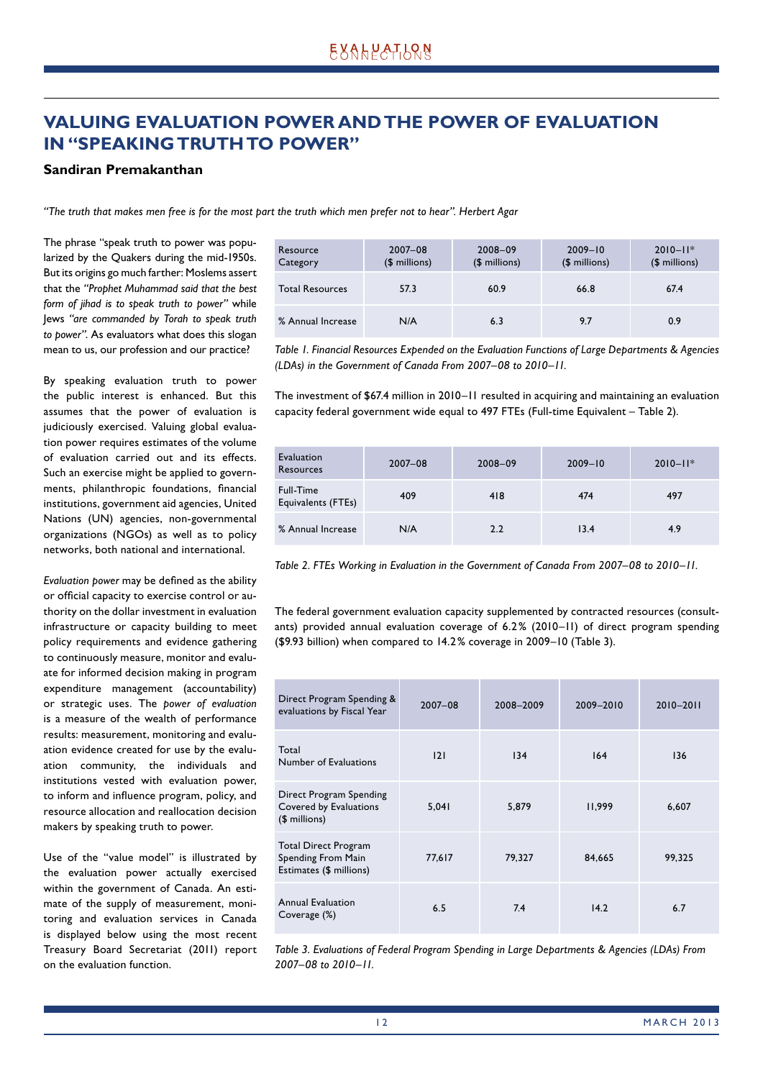# **VALUING EVALUATION POWER AND THE POWER OF EVALUATION IN "SPEAKING TRUTH TO POWER"**

### **Sandiran Premakanthan**

*"The truth that makes men free is for the most part the truth which men prefer not to hear". Herbert Agar*

The phrase "speak truth to power was popularized by the Quakers during the mid-1950s. But its origins go much farther: Moslems assert that the *"Prophet Muhammad said that the best form of jihad is to speak truth to power"* while Jews *"are commanded by Torah to speak truth to power"*. As evaluators what does this slogan mean to us, our profession and our practice?

By speaking evaluation truth to power the public interest is enhanced. But this assumes that the power of evaluation is judiciously exercised. Valuing global evaluation power requires estimates of the volume of evaluation carried out and its effects. Such an exercise might be applied to governments, philanthropic foundations, financial institutions, government aid agencies, United Nations (UN) agencies, non-governmental organizations (NGOs) as well as to policy networks, both national and international.

Evaluation power may be defined as the ability or official capacity to exercise control or authority on the dollar investment in evaluation infrastructure or capacity building to meet policy requirements and evidence gathering to continuously measure, monitor and evaluate for informed decision making in program expenditure management (accountability) or strategic uses. The *power of evaluation* is a measure of the wealth of performance results: measurement, monitoring and evaluation evidence created for use by the evaluation community, the individuals and institutions vested with evaluation power, to inform and influence program, policy, and resource allocation and reallocation decision makers by speaking truth to power.

Use of the "value model" is illustrated by the evaluation power actually exercised within the government of Canada. An estimate of the supply of measurement, monitoring and evaluation services in Canada is displayed below using the most recent Treasury Board Secretariat (2011) report on the evaluation function.

| Resource<br>Category   | $2007 - 08$<br>$$$ millions) | $2008 - 09$<br>$$$ millions) | $2009 - 10$<br>$$$ millions) | $2010 - 11*$<br>$$$ millions) |
|------------------------|------------------------------|------------------------------|------------------------------|-------------------------------|
| <b>Total Resources</b> | 57.3                         | 60.9                         | 66.8                         | 67.4                          |
| % Annual Increase      | N/A                          | 6.3                          | 9.7                          | 0.9                           |

*Table 1. Financial Resources Expended on the Evaluation Functions of Large Departments & Agencies (LDAs) in the Government of Canada From 2007–08 to 2010–11.*

The investment of \$67.4 million in 2010–11 resulted in acquiring and maintaining an evaluation capacity federal government wide equal to 497 FTEs (Full-time Equivalent – Table 2).

| Evaluation<br>Resources                | $2007 - 08$ | $2008 - 09$ | $2009 - 10$ | $2010 - 11*$ |
|----------------------------------------|-------------|-------------|-------------|--------------|
| <b>Full-Time</b><br>Equivalents (FTEs) | 409         | 418         | 474         | 497          |
| % Annual Increase                      | N/A         | 2.2         | 13.4        | 4.9          |

*Table 2. FTEs Working in Evaluation in the Government of Canada From 2007–08 to 2010–11.*

The federal government evaluation capacity supplemented by contracted resources (consultants) provided annual evaluation coverage of 6.2 % (2010–11) of direct program spending (\$9.93 billion) when compared to 14.2 % coverage in 2009–10 (Table 3).

| Direct Program Spending &<br>evaluations by Fiscal Year               | $2007 - 08$ | 2008-2009 | 2009-2010 | 2010-2011 |
|-----------------------------------------------------------------------|-------------|-----------|-----------|-----------|
| Total<br>Number of Evaluations                                        | 2           | 134       | 164       | 136       |
| Direct Program Spending<br>Covered by Evaluations<br>$$$ millions)    | 5,041       | 5.879     | 11,999    | 6,607     |
| Total Direct Program<br>Spending From Main<br>Estimates (\$ millions) | 77,617      | 79,327    | 84,665    | 99,325    |
| Annual Evaluation<br>Coverage (%)                                     | 6.5         | 7.4       | 14.2      | 6.7       |

*Table 3. Evaluations of Federal Program Spending in Large Departments & Agencies (LDAs) From 2007–08 to 2010–11.*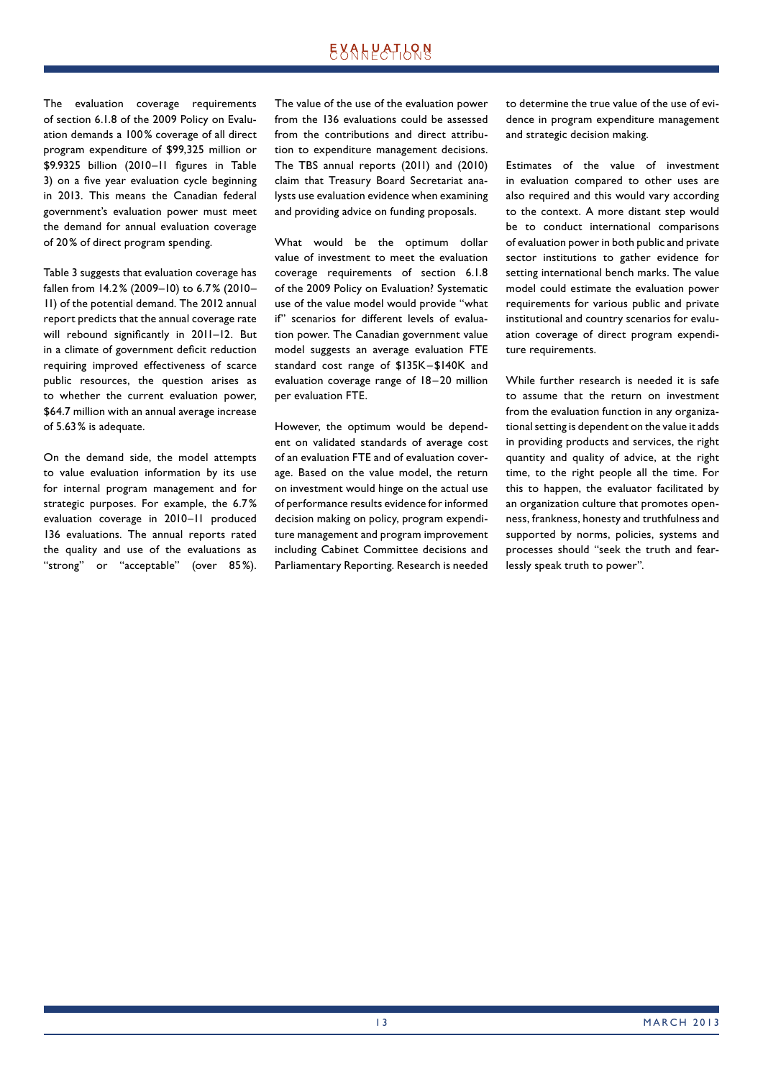# EXALPATLRN

The evaluation coverage requirements of section 6.1.8 of the 2009 Policy on Evaluation demands a 100% coverage of all direct program expenditure of \$99,325 million or \$9.9325 billion (2010-11 figures in Table 3) on a five year evaluation cycle beginning in 2013. This means the Canadian federal government's evaluation power must meet the demand for annual evaluation coverage of 20 % of direct program spending.

Table 3 suggests that evaluation coverage has fallen from 14.2 % (2009–10) to 6.7 % (2010– 11) of the potential demand. The 2012 annual report predicts that the annual coverage rate will rebound significantly in 2011-12. But in a climate of government deficit reduction requiring improved effectiveness of scarce public resources, the question arises as to whether the current evaluation power, \$64.7 million with an annual average increase of 5.63 % is adequate.

On the demand side, the model attempts to value evaluation information by its use for internal program management and for strategic purposes. For example, the 6.7 % evaluation coverage in 2010–11 produced 136 evaluations. The annual reports rated the quality and use of the evaluations as "strong" or "acceptable" (over 85%). The value of the use of the evaluation power from the 136 evaluations could be assessed from the contributions and direct attribution to expenditure management decisions. The TBS annual reports (2011) and (2010) claim that Treasury Board Secretariat analysts use evaluation evidence when examining and providing advice on funding proposals.

What would be the optimum dollar value of investment to meet the evaluation coverage requirements of section 6.1.8 of the 2009 Policy on Evaluation? Systematic use of the value model would provide "what if" scenarios for different levels of evaluation power. The Canadian government value model suggests an average evaluation FTE standard cost range of \$135K – \$140K and evaluation coverage range of 18-20 million per evaluation FTE.

However, the optimum would be dependent on validated standards of average cost of an evaluation FTE and of evaluation coverage. Based on the value model, the return on investment would hinge on the actual use of performance results evidence for informed decision making on policy, program expenditure management and program improvement including Cabinet Committee decisions and Parliamentary Reporting. Research is needed to determine the true value of the use of evidence in program expenditure management and strategic decision making.

Estimates of the value of investment in evaluation compared to other uses are also required and this would vary according to the context. A more distant step would be to conduct international comparisons of evaluation power in both public and private sector institutions to gather evidence for setting international bench marks. The value model could estimate the evaluation power requirements for various public and private institutional and country scenarios for evaluation coverage of direct program expenditure requirements.

While further research is needed it is safe to assume that the return on investment from the evaluation function in any organizational setting is dependent on the value it adds in providing products and services, the right quantity and quality of advice, at the right time, to the right people all the time. For this to happen, the evaluator facilitated by an organization culture that promotes openness, frankness, honesty and truthfulness and supported by norms, policies, systems and processes should "seek the truth and fearlessly speak truth to power".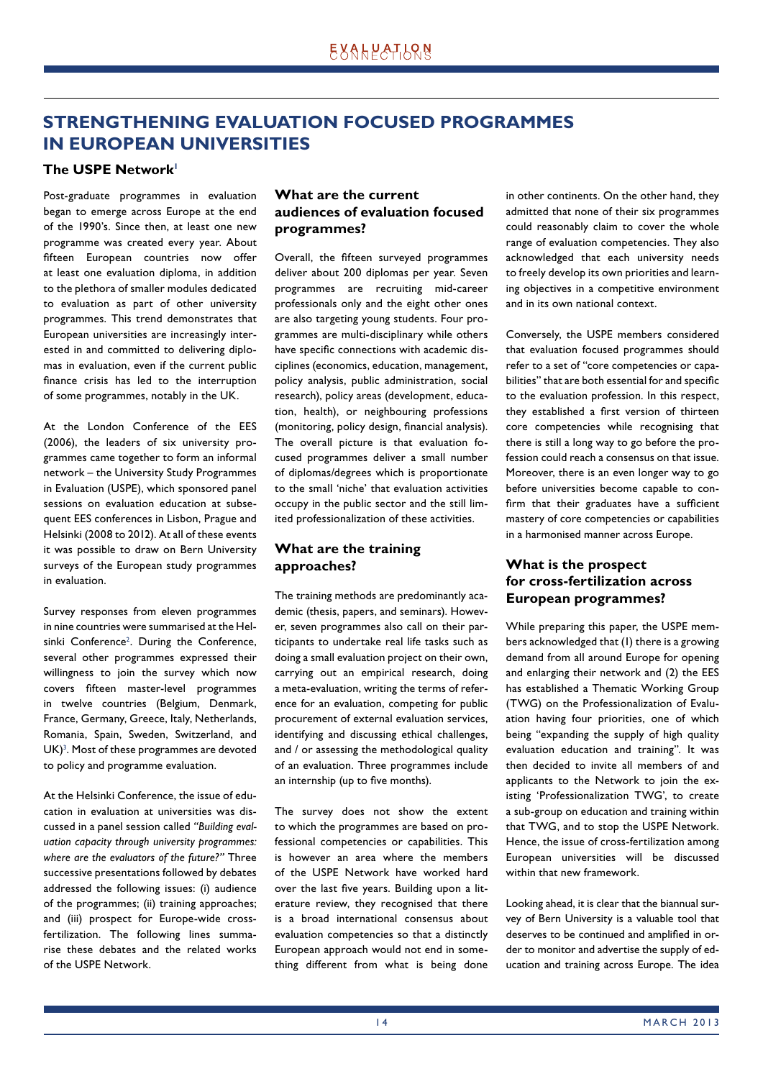# **STRENGTHENING EVALUATION FOCUSED PROGRAMMES IN EUROPEAN UNIVERSITIES**

### **The USPE Network1**

Post-graduate programmes in evaluation began to emerge across Europe at the end of the 1990's. Since then, at least one new programme was created every year. About fifteen European countries now offer at least one evaluation diploma, in addition to the plethora of smaller modules dedicated to evaluation as part of other university programmes. This trend demonstrates that European universities are increasingly interested in and committed to delivering diplomas in evaluation, even if the current public finance crisis has led to the interruption of some programmes, notably in the UK.

At the London Conference of the EES (2006), the leaders of six university programmes came together to form an informal network – the University Study Programmes in Evaluation (USPE), which sponsored panel sessions on evaluation education at subsequent EES conferences in Lisbon, Prague and Helsinki (2008 to 2012). At all of these events it was possible to draw on Bern University surveys of the European study programmes in evaluation.

Survey responses from eleven programmes in nine countries were summarised at the Helsinki Conference<sup>2</sup>. During the Conference, several other programmes expressed their willingness to join the survey which now covers fifteen master-level programmes in twelve countries (Belgium, Denmark, France, Germany, Greece, Italy, Netherlands, Romania, Spain, Sweden, Switzerland, and  $UK)^3$ . Most of these programmes are devoted to policy and programme evaluation.

At the Helsinki Conference, the issue of education in evaluation at universities was discussed in a panel session called *"Building evaluation capacity through university programmes: where are the evaluators of the future?"* Three successive presentations followed by debates addressed the following issues: (i) audience of the programmes; (ii) training approaches; and (iii) prospect for Europe-wide crossfertilization. The following lines summarise these debates and the related works of the USPE Network.

### **What are the current audiences of evaluation focused programmes?**

Overall, the fifteen surveyed programmes deliver about 200 diplomas per year. Seven programmes are recruiting mid-career professionals only and the eight other ones are also targeting young students. Four programmes are multi-disciplinary while others have specific connections with academic disciplines (economics, education, management, policy analysis, public administration, social research), policy areas (development, education, health), or neighbouring professions (monitoring, policy design, financial analysis). The overall picture is that evaluation focused programmes deliver a small number of diplomas/degrees which is proportionate to the small 'niche' that evaluation activities occupy in the public sector and the still limited professionalization of these activities.

### **What are the training approaches?**

The training methods are predominantly academic (thesis, papers, and seminars). However, seven programmes also call on their participants to undertake real life tasks such as doing a small evaluation project on their own, carrying out an empirical research, doing a meta-evaluation, writing the terms of reference for an evaluation, competing for public procurement of external evaluation services, identifying and discussing ethical challenges, and / or assessing the methodological quality of an evaluation. Three programmes include an internship (up to five months).

The survey does not show the extent to which the programmes are based on professional competencies or capabilities. This is however an area where the members of the USPE Network have worked hard over the last five years. Building upon a literature review, they recognised that there is a broad international consensus about evaluation competencies so that a distinctly European approach would not end in something different from what is being done

in other continents. On the other hand, they admitted that none of their six programmes could reasonably claim to cover the whole range of evaluation competencies. They also acknowledged that each university needs to freely develop its own priorities and learning objectives in a competitive environment and in its own national context.

Conversely, the USPE members considered that evaluation focused programmes should refer to a set of "core competencies or capabilities" that are both essential for and specific to the evaluation profession. In this respect, they established a first version of thirteen core competencies while recognising that there is still a long way to go before the profession could reach a consensus on that issue. Moreover, there is an even longer way to go before universities become capable to confirm that their graduates have a sufficient mastery of core competencies or capabilities in a harmonised manner across Europe.

### **What is the prospect for cross-fertilization across European programmes?**

While preparing this paper, the USPE members acknowledged that (1) there is a growing demand from all around Europe for opening and enlarging their network and (2) the EES has established a Thematic Working Group (TWG) on the Professionalization of Evaluation having four priorities, one of which being "expanding the supply of high quality evaluation education and training". It was then decided to invite all members of and applicants to the Network to join the existing 'Professionalization TWG', to create a sub-group on education and training within that TWG, and to stop the USPE Network. Hence, the issue of cross-fertilization among European universities will be discussed within that new framework.

Looking ahead, it is clear that the biannual survey of Bern University is a valuable tool that deserves to be continued and amplified in order to monitor and advertise the supply of education and training across Europe. The idea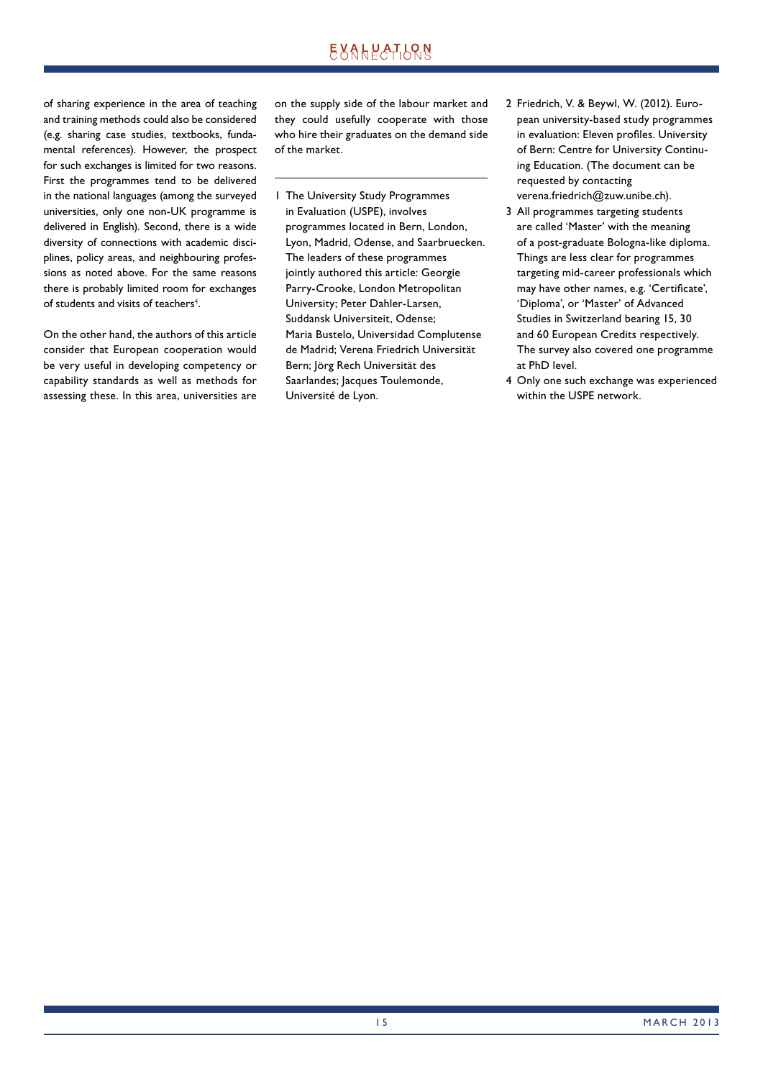of sharing experience in the area of teaching and training methods could also be considered (e.g. sharing case studies, textbooks, fundamental references). However, the prospect for such exchanges is limited for two reasons. First the programmes tend to be delivered in the national languages (among the surveyed universities, only one non-UK programme is delivered in English). Second, there is a wide diversity of connections with academic disciplines, policy areas, and neighbouring professions as noted above. For the same reasons there is probably limited room for exchanges of students and visits of teachers<sup>4</sup>.

On the other hand, the authors of this article consider that European cooperation would be very useful in developing competency or capability standards as well as methods for assessing these. In this area, universities are on the supply side of the labour market and they could usefully cooperate with those who hire their graduates on the demand side of the market.

- 1 The University Study Programmes in Evaluation (USPE), involves programmes located in Bern, London, Lyon, Madrid, Odense, and Saarbruecken. The leaders of these programmes jointly authored this article: Georgie Parry-Crooke, London Metropolitan University; Peter Dahler-Larsen, Suddansk Universiteit, Odense; Maria Bustelo, Universidad Complutense de Madrid; Verena Friedrich Universität Bern; Jörg Rech Universität des Saarlandes; Jacques Toulemonde, Université de Lyon.
- 2 Friedrich, V. & Beywl, W. (2012). European university-based study programmes in evaluation: Eleven profiles. University of Bern: Centre for University Continuing Education. (The document can be requested by contacting verena.friedrich@zuw.unibe.ch).
- 3 All programmes targeting students are called 'Master' with the meaning of a post-graduate Bologna-like diploma. Things are less clear for programmes targeting mid-career professionals which may have other names, e.g. 'Certificate', 'Diploma', or 'Master' of Advanced Studies in Switzerland bearing 15, 30 and 60 European Credits respectively. The survey also covered one programme at PhD level.
- 4 Only one such exchange was experienced within the USPE network.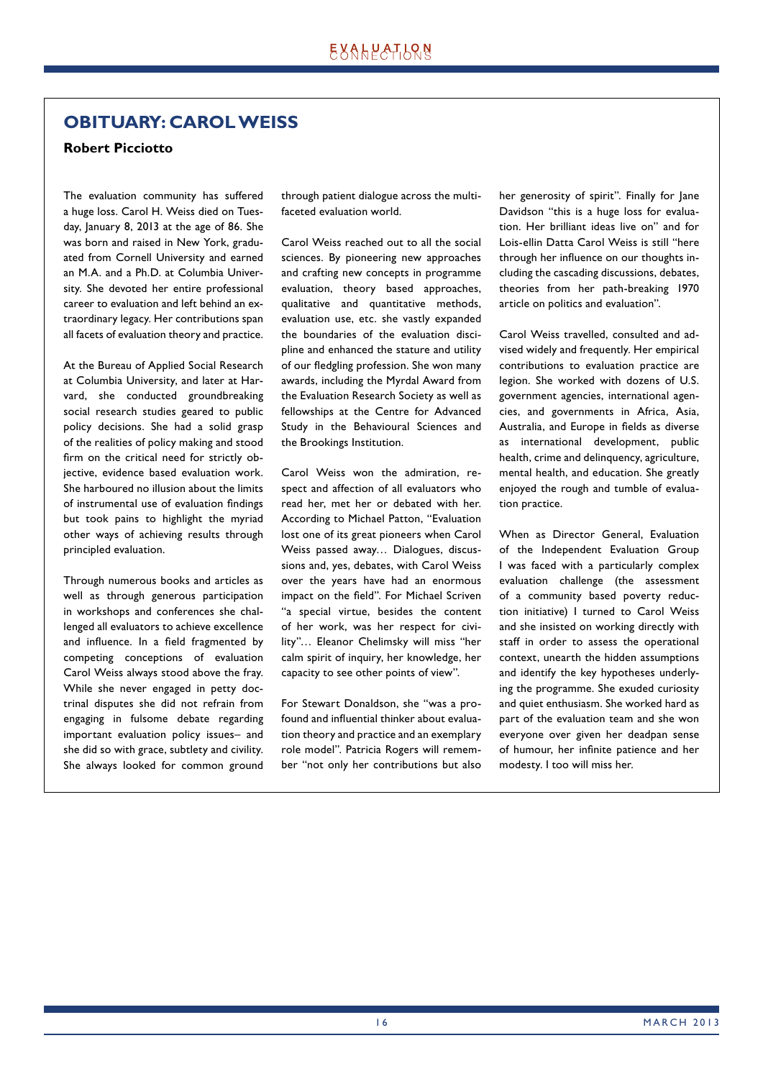# **OBITUARY: CAROL WEISS**

### **Robert Picciotto**

The evaluation community has suffered a huge loss. Carol H. Weiss died on Tuesday, January 8, 2013 at the age of 86. She was born and raised in New York, graduated from Cornell University and earned an M.A. and a Ph.D. at Columbia University. She devoted her entire professional career to evaluation and left behind an extraordinary legacy. Her contributions span all facets of evaluation theory and practice.

At the Bureau of Applied Social Research at Columbia University, and later at Harvard, she conducted groundbreaking social research studies geared to public policy decisions. She had a solid grasp of the realities of policy making and stood firm on the critical need for strictly objective, evidence based evaluation work. She harboured no illusion about the limits of instrumental use of evaluation findings but took pains to highlight the myriad other ways of achieving results through principled evaluation.

Through numerous books and articles as well as through generous participation in workshops and conferences she challenged all evaluators to achieve excellence and influence. In a field fragmented by competing conceptions of evaluation Carol Weiss always stood above the fray. While she never engaged in petty doctrinal disputes she did not refrain from engaging in fulsome debate regarding important evaluation policy issues– and she did so with grace, subtlety and civility. She always looked for common ground

through patient dialogue across the multifaceted evaluation world.

Carol Weiss reached out to all the social sciences. By pioneering new approaches and crafting new concepts in programme evaluation, theory based approaches, qualitative and quantitative methods, evaluation use, etc. she vastly expanded the boundaries of the evaluation discipline and enhanced the stature and utility of our fledgling profession. She won many awards, including the Myrdal Award from the Evaluation Research Society as well as fellowships at the Centre for Advanced Study in the Behavioural Sciences and the Brookings Institution.

Carol Weiss won the admiration, respect and affection of all evaluators who read her, met her or debated with her. According to Michael Patton, "Evaluation lost one of its great pioneers when Carol Weiss passed away… Dialogues, discussions and, yes, debates, with Carol Weiss over the years have had an enormous impact on the field". For Michael Scriven "a special virtue, besides the content of her work, was her respect for civility"… Eleanor Chelimsky will miss "her calm spirit of inquiry, her knowledge, her capacity to see other points of view".

For Stewart Donaldson, she "was a profound and influential thinker about evaluation theory and practice and an exemplary role model". Patricia Rogers will remember "not only her contributions but also her generosity of spirit". Finally for Jane Davidson "this is a huge loss for evaluation. Her brilliant ideas live on" and for Lois-ellin Datta Carol Weiss is still "here through her influence on our thoughts including the cascading discussions, debates, theories from her path-breaking 1970 article on politics and evaluation".

Carol Weiss travelled, consulted and advised widely and frequently. Her empirical contributions to evaluation practice are legion. She worked with dozens of U.S. government agencies, international agencies, and governments in Africa, Asia, Australia, and Europe in fields as diverse as international development, public health, crime and delinquency, agriculture, mental health, and education. She greatly enjoyed the rough and tumble of evaluation practice.

When as Director General, Evaluation of the Independent Evaluation Group I was faced with a particularly complex evaluation challenge (the assessment of a community based poverty reduction initiative) I turned to Carol Weiss and she insisted on working directly with staff in order to assess the operational context, unearth the hidden assumptions and identify the key hypotheses underlying the programme. She exuded curiosity and quiet enthusiasm. She worked hard as part of the evaluation team and she won everyone over given her deadpan sense of humour, her infinite patience and her modesty. I too will miss her.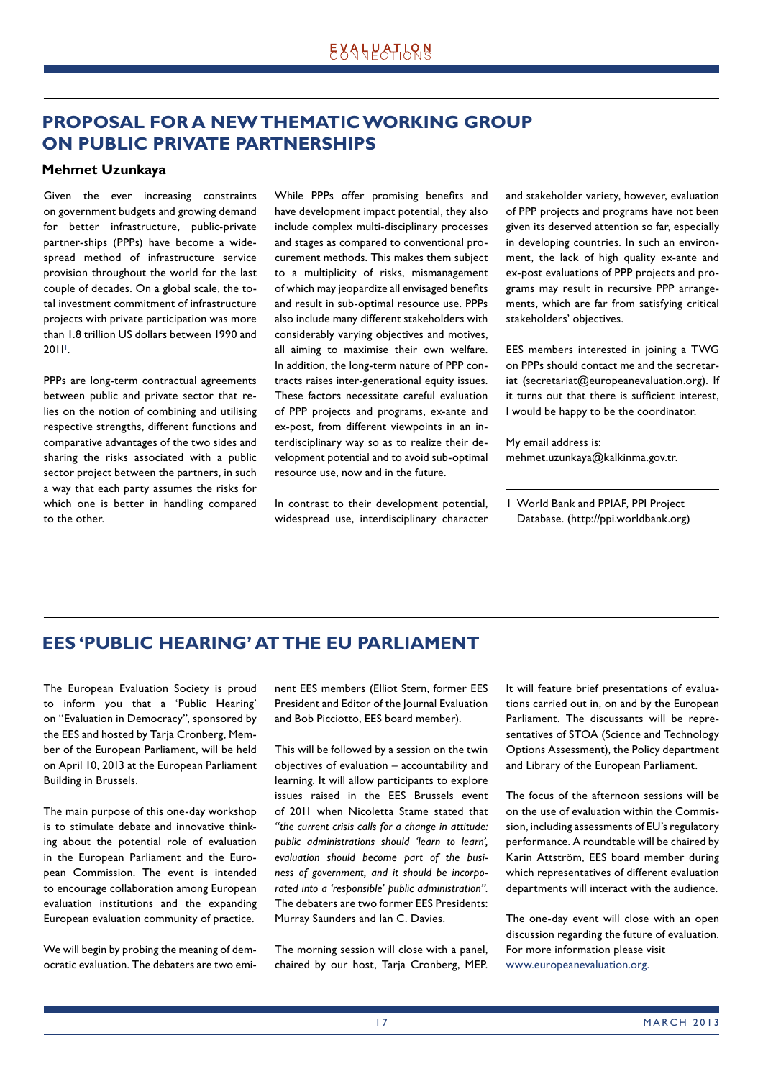# **PROPOSAL FOR A NEW THEMATIC WORKING GROUP ON PUBLIC PRIVATE PARTNERSHIPS**

### **Mehmet Uzunkaya**

Given the ever increasing constraints on government budgets and growing demand for better infrastructure, public-private partner-ships (PPPs) have become a widespread method of infrastructure service provision throughout the world for the last couple of decades. On a global scale, the total investment commitment of infrastructure projects with private participation was more than 1.8 trillion US dollars between 1990 and 20II'.

PPPs are long-term contractual agreements between public and private sector that relies on the notion of combining and utilising respective strengths, different functions and comparative advantages of the two sides and sharing the risks associated with a public sector project between the partners, in such a way that each party assumes the risks for which one is better in handling compared to the other.

While PPPs offer promising benefits and have development impact potential, they also include complex multi-disciplinary processes and stages as compared to conventional procurement methods. This makes them subject to a multiplicity of risks, mismanagement of which may jeopardize all envisaged benefits and result in sub-optimal resource use. PPPs also include many different stakeholders with considerably varying objectives and motives, all aiming to maximise their own welfare. In addition, the long-term nature of PPP contracts raises inter-generational equity issues. These factors necessitate careful evaluation of PPP projects and programs, ex-ante and ex-post, from different viewpoints in an interdisciplinary way so as to realize their development potential and to avoid sub-optimal resource use, now and in the future.

In contrast to their development potential, widespread use, interdisciplinary character and stakeholder variety, however, evaluation of PPP projects and programs have not been given its deserved attention so far, especially in developing countries. In such an environment, the lack of high quality ex-ante and ex-post evaluations of PPP projects and programs may result in recursive PPP arrangements, which are far from satisfying critical stakeholders' objectives.

EES members interested in joining a TWG on PPPs should contact me and the secretariat (secretariat@europeanevaluation.org). If it turns out that there is sufficient interest, I would be happy to be the coordinator.

My email address is: mehmet.uzunkaya@kalkinma.gov.tr.

1 World Bank and PPIAF, PPI Project Database. (http://ppi.worldbank.org)

# **EES 'PUBLIC HEARING' AT THE EU PARLIAMENT**

The European Evaluation Society is proud to inform you that a 'Public Hearing' on "Evaluation in Democracy", sponsored by the EES and hosted by Tarja Cronberg, Member of the European Parliament, will be held on April 10, 2013 at the European Parliament Building in Brussels.

The main purpose of this one-day workshop is to stimulate debate and innovative thinking about the potential role of evaluation in the European Parliament and the European Commission. The event is intended to encourage collaboration among European evaluation institutions and the expanding European evaluation community of practice.

We will begin by probing the meaning of democratic evaluation. The debaters are two eminent EES members (Elliot Stern, former EES President and Editor of the Journal Evaluation and Bob Picciotto, EES board member).

This will be followed by a session on the twin objectives of evaluation – accountability and learning. It will allow participants to explore issues raised in the EES Brussels event of 2011 when Nicoletta Stame stated that *"the current crisis calls for a change in attitude: public administrations should 'learn to learn', evaluation should become part of the business of government, and it should be incorporated into a 'responsible' public administration"*. The debaters are two former EES Presidents: Murray Saunders and Ian C. Davies.

The morning session will close with a panel, chaired by our host, Tarja Cronberg, MEP.

It will feature brief presentations of evaluations carried out in, on and by the European Parliament. The discussants will be representatives of STOA (Science and Technology Options Assessment), the Policy department and Library of the European Parliament.

The focus of the afternoon sessions will be on the use of evaluation within the Commission, including assessments of EU's regulatory performance. A roundtable will be chaired by Karin Attström, EES board member during which representatives of different evaluation departments will interact with the audience.

The one-day event will close with an open discussion regarding the future of evaluation. For more information please visit www.europeanevaluation.org.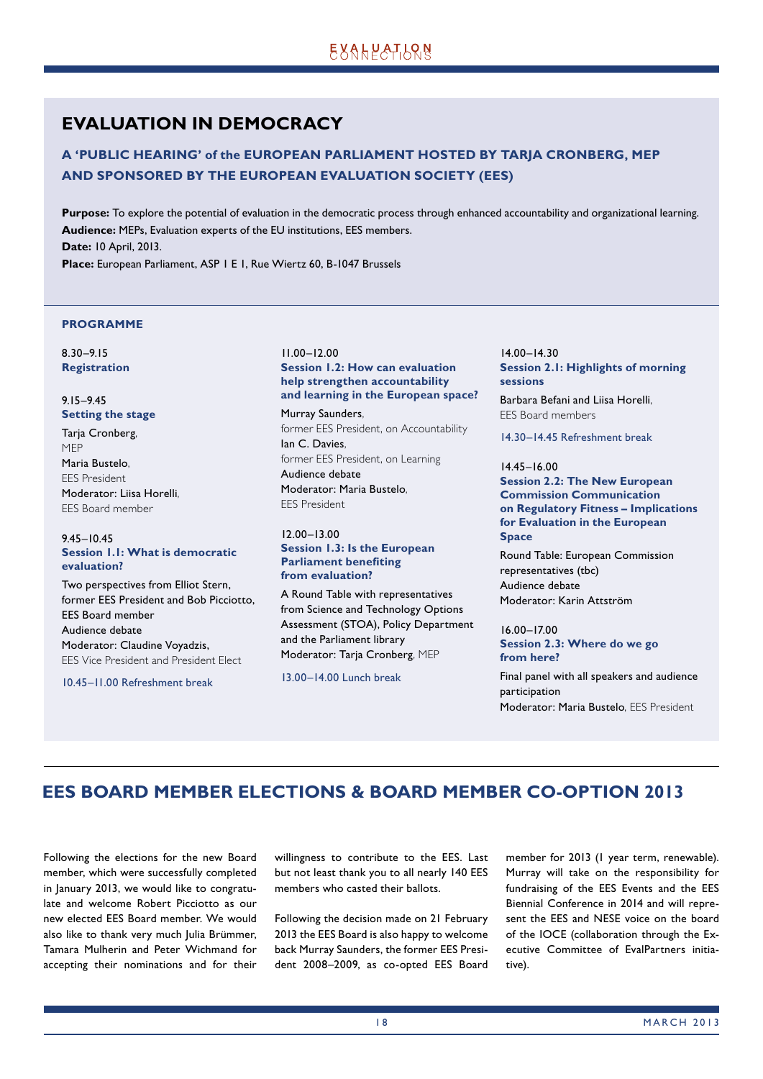# **EVALUATION IN DEMOCRACY**

### **A 'PUBLIC HEARING' of the EUROPEAN PARLIAMENT HOSTED BY TARJA CRONBERG, MEP AND SPONSORED BY THE EUROPEAN EVALUATION SOCIETY (EES)**

**Purpose:** To explore the potential of evaluation in the democratic process through enhanced accountability and organizational learning. **Audience:** MEPs, Evaluation experts of the EU institutions, EES members. **Date:** 10 April, 2013.

**Place:** European Parliament, ASP 1 E 1, Rue Wiertz 60, B-1047 Brussels

#### **PROGRAMME**

8.30–9.15 **Registration** 

#### 9.15–9.45 **Setting the stage**

Tarja Cronberg, MEP Maria Bustelo, EES President Moderator: Liisa Horelli, EES Board member

### 9.45–10.45 **Session 1.1: What is democratic evaluation?**

Two perspectives from Elliot Stern, former EES President and Bob Picciotto, EES Board member Audience debate Moderator: Claudine Voyadzis, EES Vice President and President Elect

10.45–11.00 Refreshment break

### 11.00–12.00 **Session 1.2: How can evaluation help strengthen accountability and learning in the European space?**

Murray Saunders, former EES President, on Accountability Ian C. Davies, former EES President, on Learning Audience debate Moderator: Maria Bustelo, EES President

### 12.00–13.00 **Session 1.3: Is the European Parliament benefiting from evaluation?**

A Round Table with representatives from Science and Technology Options Assessment (STOA), Policy Department and the Parliament library Moderator: Tarja Cronberg, MEP

13.00–14.00 Lunch break

14.00–14.30 **Session 2.1: Highlights of morning sessions** 

Barbara Befani and Liisa Horelli, EES Board members

14.30–14.45 Refreshment break

#### 14.45–16.00 **Session 2.2: The New European Commission Communication on Regulatory Fitness – Implications for Evaluation in the European Space**

Round Table: European Commission representatives (tbc) Audience debate Moderator: Karin Attström

### 16.00–17.00 **Session 2.3: Where do we go from here?**

Final panel with all speakers and audience participation Moderator: Maria Bustelo, EES President

# **EES BOARD MEMBER ELECTIONS & BOARD MEMBER CO-OPTION 2013**

Following the elections for the new Board member, which were successfully completed in January 2013, we would like to congratulate and welcome Robert Picciotto as our new elected EES Board member. We would also like to thank very much Julia Brümmer, Tamara Mulherin and Peter Wichmand for accepting their nominations and for their

willingness to contribute to the EES. Last but not least thank you to all nearly 140 EES members who casted their ballots.

Following the decision made on 21 February 2013 the EES Board is also happy to welcome back Murray Saunders, the former EES President 2008–2009, as co-opted EES Board member for 2013 (1 year term, renewable). Murray will take on the responsibility for fundraising of the EES Events and the EES Biennial Conference in 2014 and will represent the EES and NESE voice on the board of the IOCE (collaboration through the Executive Committee of EvalPartners initiative).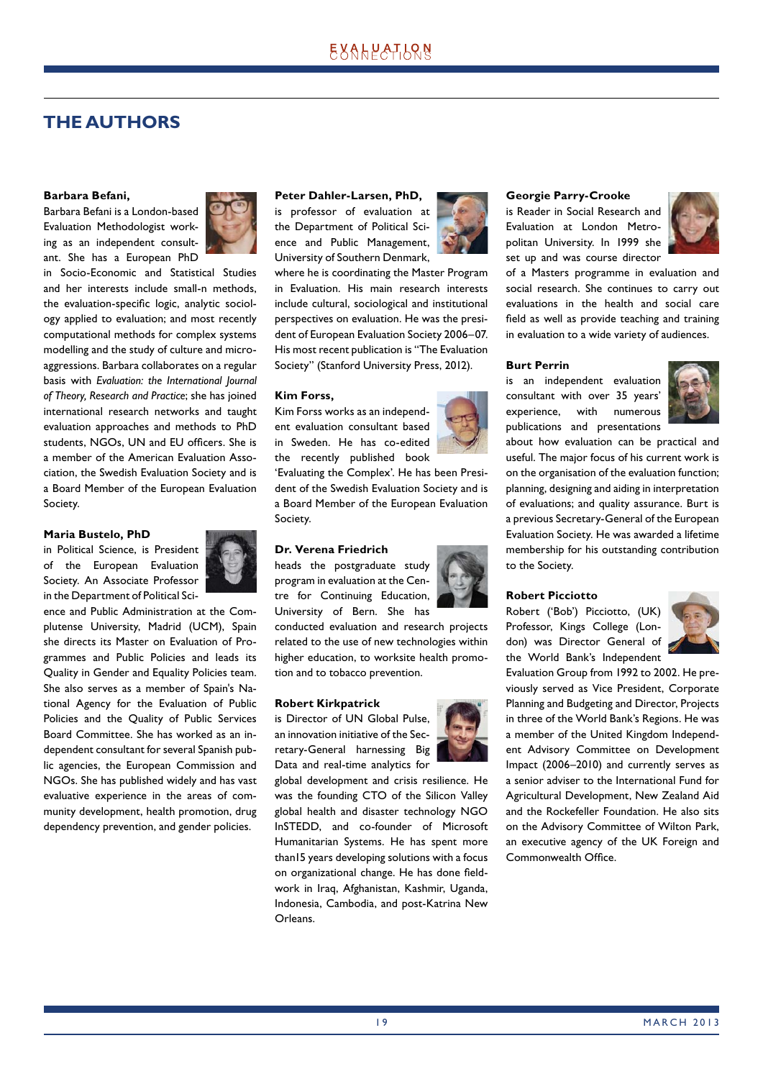# **THE AUTHORS**

#### **Barbara Befani,**

Barbara Befani is a London-based Evaluation Methodologist working as an independent consultant. She has a European PhD



in Socio-Economic and Statistical Studies and her interests include small-n methods, the evaluation-specific logic, analytic sociology applied to evaluation; and most recently computational methods for complex systems modelling and the study of culture and microaggressions. Barbara collaborates on a regular basis with *Evaluation: the International Journal of Theory, Research and Practice*; she has joined international research networks and taught evaluation approaches and methods to PhD students, NGOs, UN and EU officers. She is a member of the American Evaluation Association, the Swedish Evaluation Society and is a Board Member of the European Evaluation Society.

#### **Maria Bustelo, PhD**

in Political Science, is President of the European Evaluation Society. An Associate Professor in the Department of Political Sci-



ence and Public Administration at the Complutense University, Madrid (UCM), Spain she directs its Master on Evaluation of Programmes and Public Policies and leads its Quality in Gender and Equality Policies team. She also serves as a member of Spain's National Agency for the Evaluation of Public Policies and the Quality of Public Services Board Committee. She has worked as an independent consultant for several Spanish public agencies, the European Commission and NGOs. She has published widely and has vast evaluative experience in the areas of community development, health promotion, drug dependency prevention, and gender policies.

#### **Peter Dahler-Larsen, PhD,**

is professor of evaluation at the Department of Political Science and Public Management, University of Southern Denmark,

where he is coordinating the Master Program in Evaluation. His main research interests include cultural, sociological and institutional perspectives on evaluation. He was the president of European Evaluation Society 2006–07. His most recent publication is "The Evaluation Society" (Stanford University Press, 2012).

#### **Kim Forss,**

Kim Forss works as an independent evaluation consultant based in Sweden. He has co-edited the recently published book

'Evaluating the Complex'. He has been President of the Swedish Evaluation Society and is a Board Member of the European Evaluation Society.

#### **Dr. Verena Friedrich**

heads the postgraduate study program in evaluation at the Centre for Continuing Education, University of Bern. She has

conducted evaluation and research projects related to the use of new technologies within higher education, to worksite health promotion and to tobacco prevention.

#### **Robert Kirkpatrick**

is Director of UN Global Pulse, an innovation initiative of the Secretary-General harnessing Big Data and real-time analytics for



global development and crisis resilience. He was the founding CTO of the Silicon Valley global health and disaster technology NGO InSTEDD, and co-founder of Microsoft Humanitarian Systems. He has spent more than15 years developing solutions with a focus on organizational change. He has done fieldwork in Iraq, Afghanistan, Kashmir, Uganda, Indonesia, Cambodia, and post-Katrina New Orleans.



### **Georgie Parry-Crooke**

is Reader in Social Research and Evaluation at London Metropolitan University. In 1999 she set up and was course director



of a Masters programme in evaluation and social research. She continues to carry out evaluations in the health and social care field as well as provide teaching and training in evaluation to a wide variety of audiences.

#### **Burt Perrin**

is an independent evaluation consultant with over 35 years' experience, with numerous publications and presentations



about how evaluation can be practical and useful. The major focus of his current work is on the organisation of the evaluation function; planning, designing and aiding in interpretation of evaluations; and quality assurance. Burt is a previous Secretary-General of the European Evaluation Society. He was awarded a lifetime membership for his outstanding contribution to the Society.

#### **Robert Picciotto**

Robert ('Bob') Picciotto, (UK) Professor, Kings College (London) was Director General of the World Bank's Independent



Evaluation Group from 1992 to 2002. He previously served as Vice President, Corporate Planning and Budgeting and Director, Projects in three of the World Bank's Regions. He was a member of the United Kingdom Independent Advisory Committee on Development Impact (2006–2010) and currently serves as a senior adviser to the International Fund for Agricultural Development, New Zealand Aid and the Rockefeller Foundation. He also sits on the Advisory Committee of Wilton Park, an executive agency of the UK Foreign and Commonwealth Office.